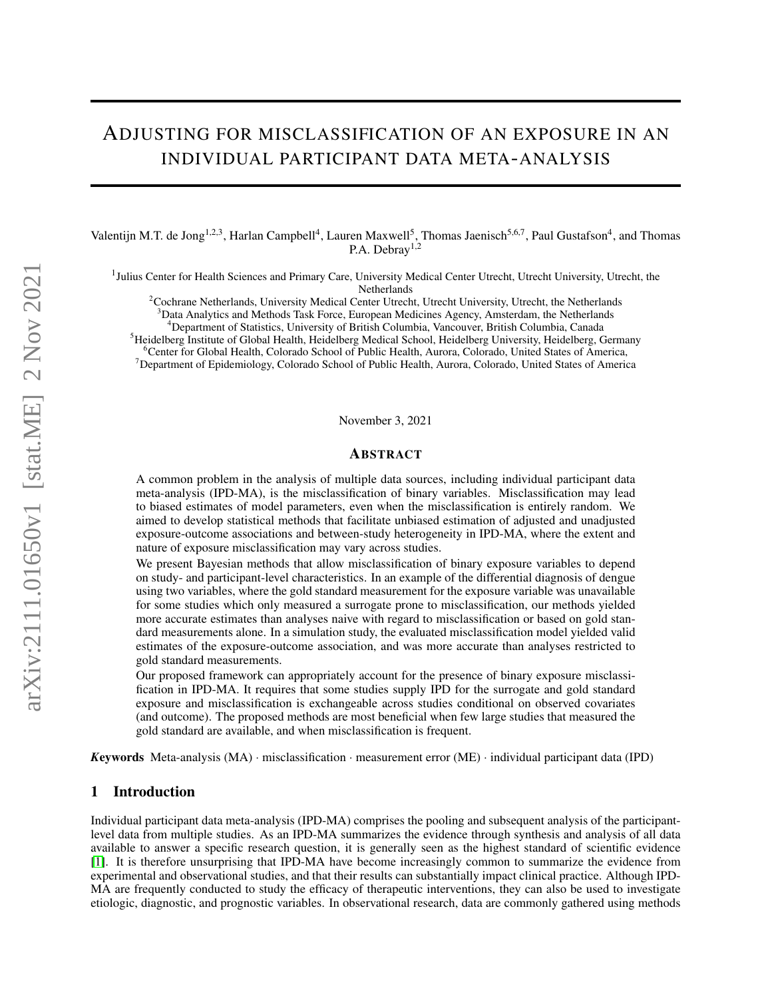# ADJUSTING FOR MISCLASSIFICATION OF AN EXPOSURE IN AN INDIVIDUAL PARTICIPANT DATA META-ANALYSIS

Valentijn M.T. de Jong<sup>1,2,3</sup>, Harlan Campbell<sup>4</sup>, Lauren Maxwell<sup>5</sup>, Thomas Jaenisch<sup>5,6,7</sup>, Paul Gustafson<sup>4</sup>, and Thomas P.A. Debray<sup>1,2</sup>

<sup>1</sup>Julius Center for Health Sciences and Primary Care, University Medical Center Utrecht, Utrecht University, Utrecht, the Netherlands

<sup>2</sup>Cochrane Netherlands, University Medical Center Utrecht, Utrecht University, Utrecht, the Netherlands

 $3$ Data Analytics and Methods Task Force, European Medicines Agency, Amsterdam, the Netherlands

<sup>4</sup>Department of Statistics, University of British Columbia, Vancouver, British Columbia, Canada

<sup>5</sup>Heidelberg Institute of Global Health, Heidelberg Medical School, Heidelberg University, Heidelberg, Germany

<sup>6</sup>Center for Global Health, Colorado School of Public Health, Aurora, Colorado, United States of America,

<sup>7</sup>Department of Epidemiology, Colorado School of Public Health, Aurora, Colorado, United States of America

November 3, 2021

#### ABSTRACT

A common problem in the analysis of multiple data sources, including individual participant data meta-analysis (IPD-MA), is the misclassification of binary variables. Misclassification may lead to biased estimates of model parameters, even when the misclassification is entirely random. We aimed to develop statistical methods that facilitate unbiased estimation of adjusted and unadjusted exposure-outcome associations and between-study heterogeneity in IPD-MA, where the extent and nature of exposure misclassification may vary across studies.

We present Bayesian methods that allow misclassification of binary exposure variables to depend on study- and participant-level characteristics. In an example of the differential diagnosis of dengue using two variables, where the gold standard measurement for the exposure variable was unavailable for some studies which only measured a surrogate prone to misclassification, our methods yielded more accurate estimates than analyses naive with regard to misclassification or based on gold standard measurements alone. In a simulation study, the evaluated misclassification model yielded valid estimates of the exposure-outcome association, and was more accurate than analyses restricted to gold standard measurements.

Our proposed framework can appropriately account for the presence of binary exposure misclassification in IPD-MA. It requires that some studies supply IPD for the surrogate and gold standard exposure and misclassification is exchangeable across studies conditional on observed covariates (and outcome). The proposed methods are most beneficial when few large studies that measured the gold standard are available, and when misclassification is frequent.

*K*eywords Meta-analysis (MA) · misclassification · measurement error (ME) · individual participant data (IPD)

# 1 Introduction

Individual participant data meta-analysis (IPD-MA) comprises the pooling and subsequent analysis of the participantlevel data from multiple studies. As an IPD-MA summarizes the evidence through synthesis and analysis of all data available to answer a specific research question, it is generally seen as the highest standard of scientific evidence [\[1\]](#page-19-0). It is therefore unsurprising that IPD-MA have become increasingly common to summarize the evidence from experimental and observational studies, and that their results can substantially impact clinical practice. Although IPD-MA are frequently conducted to study the efficacy of therapeutic interventions, they can also be used to investigate etiologic, diagnostic, and prognostic variables. In observational research, data are commonly gathered using methods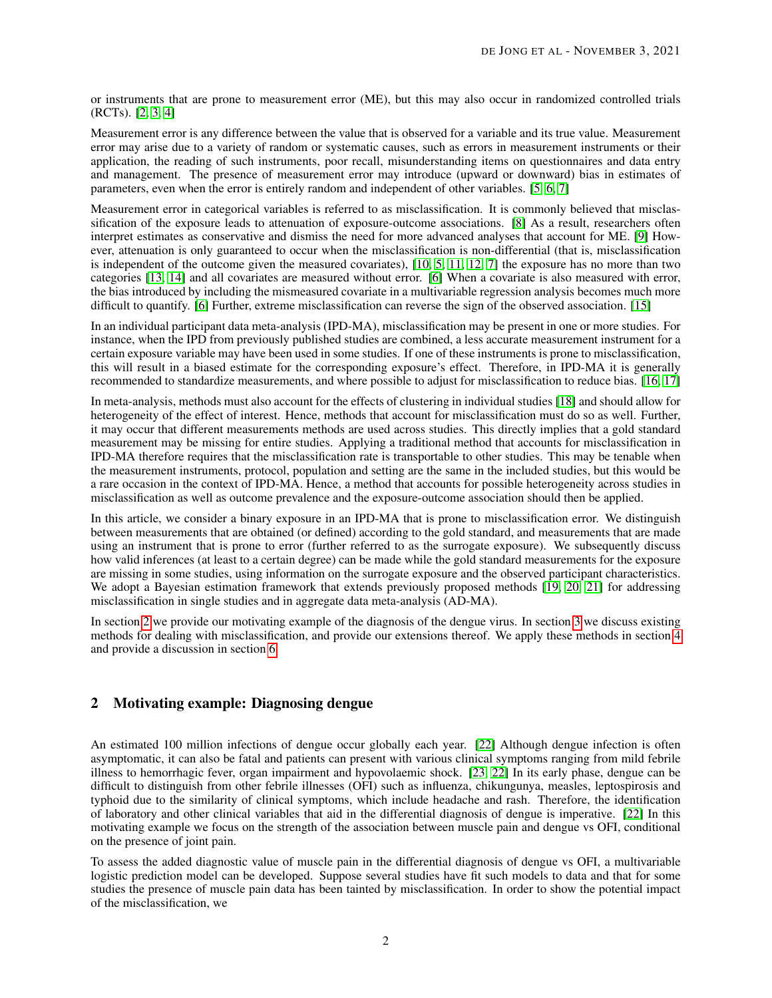or instruments that are prone to measurement error (ME), but this may also occur in randomized controlled trials (RCTs). [\[2,](#page-19-1) [3,](#page-19-2) [4\]](#page-19-3)

Measurement error is any difference between the value that is observed for a variable and its true value. Measurement error may arise due to a variety of random or systematic causes, such as errors in measurement instruments or their application, the reading of such instruments, poor recall, misunderstanding items on questionnaires and data entry and management. The presence of measurement error may introduce (upward or downward) bias in estimates of parameters, even when the error is entirely random and independent of other variables. [\[5,](#page-19-4) [6,](#page-19-5) [7\]](#page-19-6)

Measurement error in categorical variables is referred to as misclassification. It is commonly believed that misclassification of the exposure leads to attenuation of exposure-outcome associations. [\[8\]](#page-19-7) As a result, researchers often interpret estimates as conservative and dismiss the need for more advanced analyses that account for ME. [\[9\]](#page-19-8) However, attenuation is only guaranteed to occur when the misclassification is non-differential (that is, misclassification is independent of the outcome given the measured covariates), [\[10,](#page-19-9) [5,](#page-19-4) [11,](#page-19-10) [12,](#page-19-11) [7\]](#page-19-6) the exposure has no more than two categories [\[13,](#page-19-12) [14\]](#page-19-13) and all covariates are measured without error. [\[6\]](#page-19-5) When a covariate is also measured with error, the bias introduced by including the mismeasured covariate in a multivariable regression analysis becomes much more difficult to quantify. [\[6\]](#page-19-5) Further, extreme misclassification can reverse the sign of the observed association. [\[15\]](#page-19-14)

In an individual participant data meta-analysis (IPD-MA), misclassification may be present in one or more studies. For instance, when the IPD from previously published studies are combined, a less accurate measurement instrument for a certain exposure variable may have been used in some studies. If one of these instruments is prone to misclassification, this will result in a biased estimate for the corresponding exposure's effect. Therefore, in IPD-MA it is generally recommended to standardize measurements, and where possible to adjust for misclassification to reduce bias. [\[16,](#page-19-15) [17\]](#page-19-16)

In meta-analysis, methods must also account for the effects of clustering in individual studies [\[18\]](#page-20-0) and should allow for heterogeneity of the effect of interest. Hence, methods that account for misclassification must do so as well. Further, it may occur that different measurements methods are used across studies. This directly implies that a gold standard measurement may be missing for entire studies. Applying a traditional method that accounts for misclassification in IPD-MA therefore requires that the misclassification rate is transportable to other studies. This may be tenable when the measurement instruments, protocol, population and setting are the same in the included studies, but this would be a rare occasion in the context of IPD-MA. Hence, a method that accounts for possible heterogeneity across studies in misclassification as well as outcome prevalence and the exposure-outcome association should then be applied.

In this article, we consider a binary exposure in an IPD-MA that is prone to misclassification error. We distinguish between measurements that are obtained (or defined) according to the gold standard, and measurements that are made using an instrument that is prone to error (further referred to as the surrogate exposure). We subsequently discuss how valid inferences (at least to a certain degree) can be made while the gold standard measurements for the exposure are missing in some studies, using information on the surrogate exposure and the observed participant characteristics. We adopt a Bayesian estimation framework that extends previously proposed methods [\[19,](#page-20-1) [20,](#page-20-2) [21\]](#page-20-3) for addressing misclassification in single studies and in aggregate data meta-analysis (AD-MA).

In section [2](#page-1-0) we provide our motivating example of the diagnosis of the dengue virus. In section [3](#page-2-0) we discuss existing methods for dealing with misclassification, and provide our extensions thereof. We apply these methods in section [4](#page-8-0) and provide a discussion in section [6.](#page-15-0)

# <span id="page-1-0"></span>2 Motivating example: Diagnosing dengue

An estimated 100 million infections of dengue occur globally each year. [\[22\]](#page-20-4) Although dengue infection is often asymptomatic, it can also be fatal and patients can present with various clinical symptoms ranging from mild febrile illness to hemorrhagic fever, organ impairment and hypovolaemic shock. [\[23,](#page-20-5) [22\]](#page-20-4) In its early phase, dengue can be difficult to distinguish from other febrile illnesses (OFI) such as influenza, chikungunya, measles, leptospirosis and typhoid due to the similarity of clinical symptoms, which include headache and rash. Therefore, the identification of laboratory and other clinical variables that aid in the differential diagnosis of dengue is imperative. [\[22\]](#page-20-4) In this motivating example we focus on the strength of the association between muscle pain and dengue vs OFI, conditional on the presence of joint pain.

To assess the added diagnostic value of muscle pain in the differential diagnosis of dengue vs OFI, a multivariable logistic prediction model can be developed. Suppose several studies have fit such models to data and that for some studies the presence of muscle pain data has been tainted by misclassification. In order to show the potential impact of the misclassification, we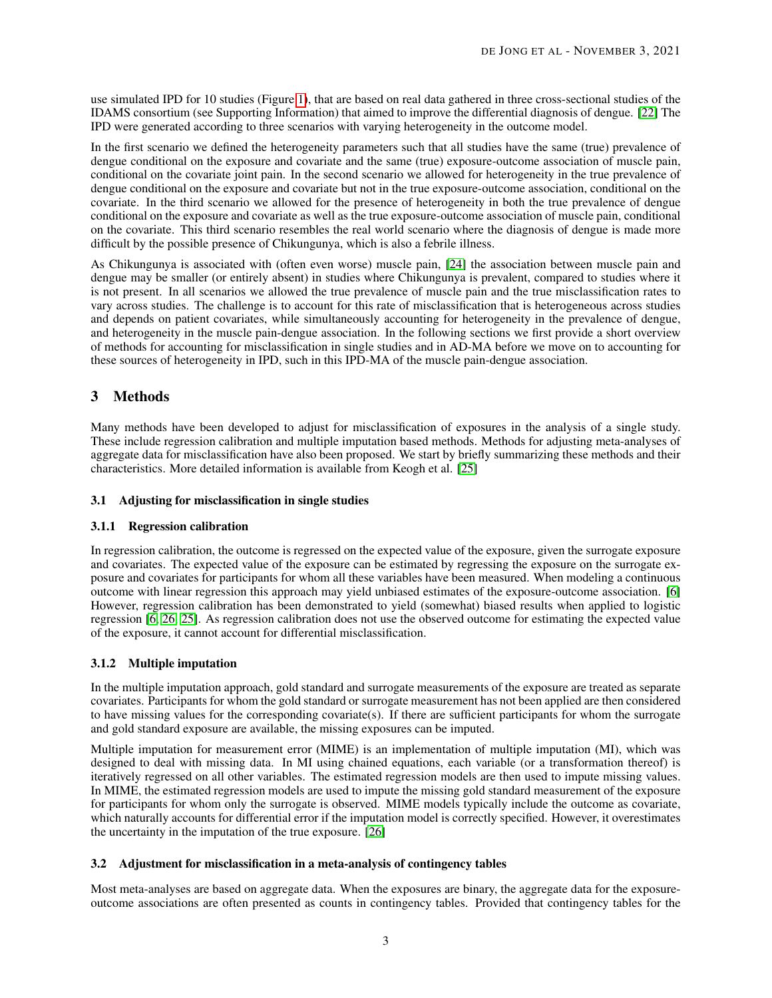use simulated IPD for 10 studies (Figure [1\)](#page-3-0), that are based on real data gathered in three cross-sectional studies of the IDAMS consortium (see Supporting Information) that aimed to improve the differential diagnosis of dengue. [\[22\]](#page-20-4) The IPD were generated according to three scenarios with varying heterogeneity in the outcome model.

In the first scenario we defined the heterogeneity parameters such that all studies have the same (true) prevalence of dengue conditional on the exposure and covariate and the same (true) exposure-outcome association of muscle pain, conditional on the covariate joint pain. In the second scenario we allowed for heterogeneity in the true prevalence of dengue conditional on the exposure and covariate but not in the true exposure-outcome association, conditional on the covariate. In the third scenario we allowed for the presence of heterogeneity in both the true prevalence of dengue conditional on the exposure and covariate as well as the true exposure-outcome association of muscle pain, conditional on the covariate. This third scenario resembles the real world scenario where the diagnosis of dengue is made more difficult by the possible presence of Chikungunya, which is also a febrile illness.

As Chikungunya is associated with (often even worse) muscle pain, [\[24\]](#page-20-6) the association between muscle pain and dengue may be smaller (or entirely absent) in studies where Chikungunya is prevalent, compared to studies where it is not present. In all scenarios we allowed the true prevalence of muscle pain and the true misclassification rates to vary across studies. The challenge is to account for this rate of misclassification that is heterogeneous across studies and depends on patient covariates, while simultaneously accounting for heterogeneity in the prevalence of dengue, and heterogeneity in the muscle pain-dengue association. In the following sections we first provide a short overview of methods for accounting for misclassification in single studies and in AD-MA before we move on to accounting for these sources of heterogeneity in IPD, such in this IPD-MA of the muscle pain-dengue association.

# <span id="page-2-0"></span>3 Methods

Many methods have been developed to adjust for misclassification of exposures in the analysis of a single study. These include regression calibration and multiple imputation based methods. Methods for adjusting meta-analyses of aggregate data for misclassification have also been proposed. We start by briefly summarizing these methods and their characteristics. More detailed information is available from Keogh et al. [\[25\]](#page-20-7)

# 3.1 Adjusting for misclassification in single studies

# 3.1.1 Regression calibration

In regression calibration, the outcome is regressed on the expected value of the exposure, given the surrogate exposure and covariates. The expected value of the exposure can be estimated by regressing the exposure on the surrogate exposure and covariates for participants for whom all these variables have been measured. When modeling a continuous outcome with linear regression this approach may yield unbiased estimates of the exposure-outcome association. [\[6\]](#page-19-5) However, regression calibration has been demonstrated to yield (somewhat) biased results when applied to logistic regression [\[6,](#page-19-5) [26,](#page-20-8) [25\]](#page-20-7). As regression calibration does not use the observed outcome for estimating the expected value of the exposure, it cannot account for differential misclassification.

# 3.1.2 Multiple imputation

In the multiple imputation approach, gold standard and surrogate measurements of the exposure are treated as separate covariates. Participants for whom the gold standard or surrogate measurement has not been applied are then considered to have missing values for the corresponding covariate(s). If there are sufficient participants for whom the surrogate and gold standard exposure are available, the missing exposures can be imputed.

Multiple imputation for measurement error (MIME) is an implementation of multiple imputation (MI), which was designed to deal with missing data. In MI using chained equations, each variable (or a transformation thereof) is iteratively regressed on all other variables. The estimated regression models are then used to impute missing values. In MIME, the estimated regression models are used to impute the missing gold standard measurement of the exposure for participants for whom only the surrogate is observed. MIME models typically include the outcome as covariate, which naturally accounts for differential error if the imputation model is correctly specified. However, it overestimates the uncertainty in the imputation of the true exposure. [\[26\]](#page-20-8)

# 3.2 Adjustment for misclassification in a meta-analysis of contingency tables

Most meta-analyses are based on aggregate data. When the exposures are binary, the aggregate data for the exposureoutcome associations are often presented as counts in contingency tables. Provided that contingency tables for the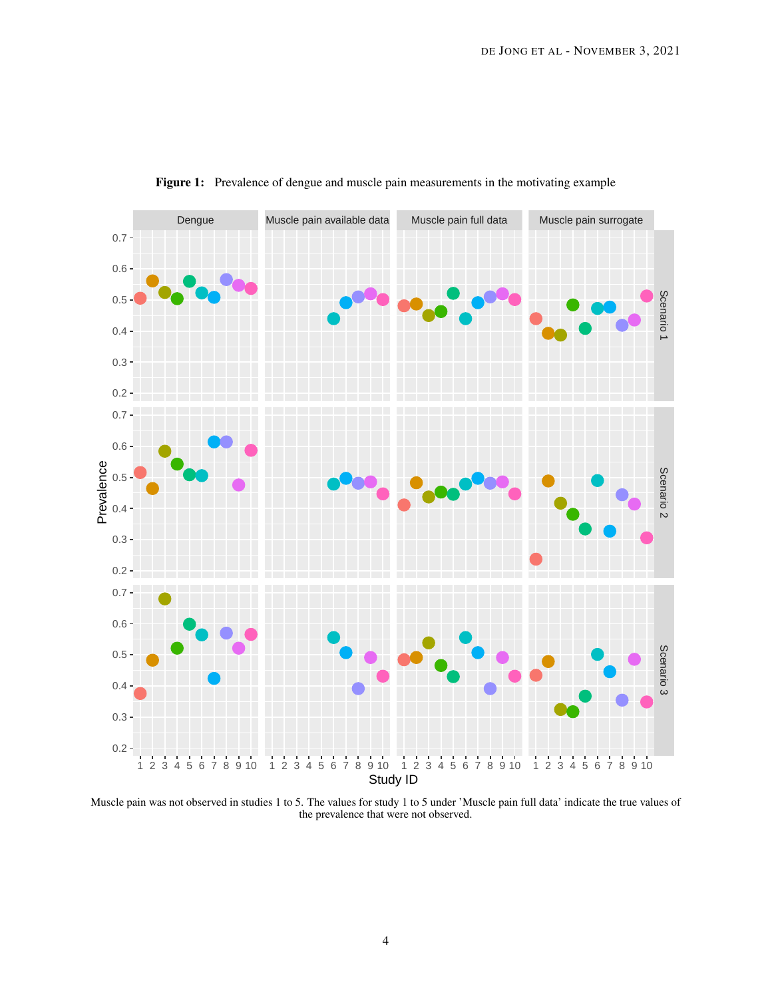<span id="page-3-0"></span>

Figure 1: Prevalence of dengue and muscle pain measurements in the motivating example

Muscle pain was not observed in studies 1 to 5. The values for study 1 to 5 under 'Muscle pain full data' indicate the true values of the prevalence that were not observed.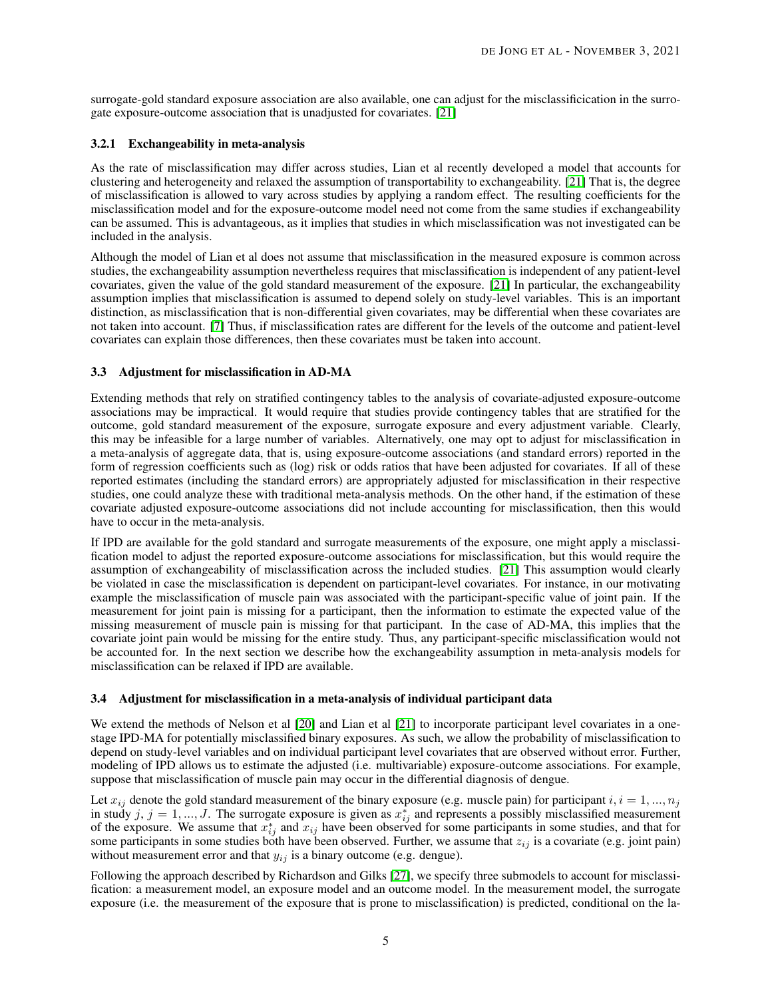surrogate-gold standard exposure association are also available, one can adjust for the misclassificication in the surrogate exposure-outcome association that is unadjusted for covariates. [\[21\]](#page-20-3)

## 3.2.1 Exchangeability in meta-analysis

As the rate of misclassification may differ across studies, Lian et al recently developed a model that accounts for clustering and heterogeneity and relaxed the assumption of transportability to exchangeability. [\[21\]](#page-20-3) That is, the degree of misclassification is allowed to vary across studies by applying a random effect. The resulting coefficients for the misclassification model and for the exposure-outcome model need not come from the same studies if exchangeability can be assumed. This is advantageous, as it implies that studies in which misclassification was not investigated can be included in the analysis.

Although the model of Lian et al does not assume that misclassification in the measured exposure is common across studies, the exchangeability assumption nevertheless requires that misclassification is independent of any patient-level covariates, given the value of the gold standard measurement of the exposure. [\[21\]](#page-20-3) In particular, the exchangeability assumption implies that misclassification is assumed to depend solely on study-level variables. This is an important distinction, as misclassification that is non-differential given covariates, may be differential when these covariates are not taken into account. [\[7\]](#page-19-6) Thus, if misclassification rates are different for the levels of the outcome and patient-level covariates can explain those differences, then these covariates must be taken into account.

## 3.3 Adjustment for misclassification in AD-MA

Extending methods that rely on stratified contingency tables to the analysis of covariate-adjusted exposure-outcome associations may be impractical. It would require that studies provide contingency tables that are stratified for the outcome, gold standard measurement of the exposure, surrogate exposure and every adjustment variable. Clearly, this may be infeasible for a large number of variables. Alternatively, one may opt to adjust for misclassification in a meta-analysis of aggregate data, that is, using exposure-outcome associations (and standard errors) reported in the form of regression coefficients such as (log) risk or odds ratios that have been adjusted for covariates. If all of these reported estimates (including the standard errors) are appropriately adjusted for misclassification in their respective studies, one could analyze these with traditional meta-analysis methods. On the other hand, if the estimation of these covariate adjusted exposure-outcome associations did not include accounting for misclassification, then this would have to occur in the meta-analysis.

If IPD are available for the gold standard and surrogate measurements of the exposure, one might apply a misclassification model to adjust the reported exposure-outcome associations for misclassification, but this would require the assumption of exchangeability of misclassification across the included studies. [\[21\]](#page-20-3) This assumption would clearly be violated in case the misclassification is dependent on participant-level covariates. For instance, in our motivating example the misclassification of muscle pain was associated with the participant-specific value of joint pain. If the measurement for joint pain is missing for a participant, then the information to estimate the expected value of the missing measurement of muscle pain is missing for that participant. In the case of AD-MA, this implies that the covariate joint pain would be missing for the entire study. Thus, any participant-specific misclassification would not be accounted for. In the next section we describe how the exchangeability assumption in meta-analysis models for misclassification can be relaxed if IPD are available.

## <span id="page-4-0"></span>3.4 Adjustment for misclassification in a meta-analysis of individual participant data

We extend the methods of Nelson et al [\[20\]](#page-20-2) and Lian et al [\[21\]](#page-20-3) to incorporate participant level covariates in a onestage IPD-MA for potentially misclassified binary exposures. As such, we allow the probability of misclassification to depend on study-level variables and on individual participant level covariates that are observed without error. Further, modeling of IPD allows us to estimate the adjusted (i.e. multivariable) exposure-outcome associations. For example, suppose that misclassification of muscle pain may occur in the differential diagnosis of dengue.

Let  $x_{ij}$  denote the gold standard measurement of the binary exposure (e.g. muscle pain) for participant  $i, i = 1, ..., n_j$ in study j,  $j = 1, ..., J$ . The surrogate exposure is given as  $x_{ij}^*$  and represents a possibly misclassified measurement of the exposure. We assume that  $x_{ij}^*$  and  $x_{ij}$  have been observed for some participants in some studies, and that for some participants in some studies both have been observed. Further, we assume that  $z_{ij}$  is a covariate (e.g. joint pain) without measurement error and that  $y_{ij}$  is a binary outcome (e.g. dengue).

Following the approach described by Richardson and Gilks [\[27\]](#page-20-9), we specify three submodels to account for misclassification: a measurement model, an exposure model and an outcome model. In the measurement model, the surrogate exposure (i.e. the measurement of the exposure that is prone to misclassification) is predicted, conditional on the la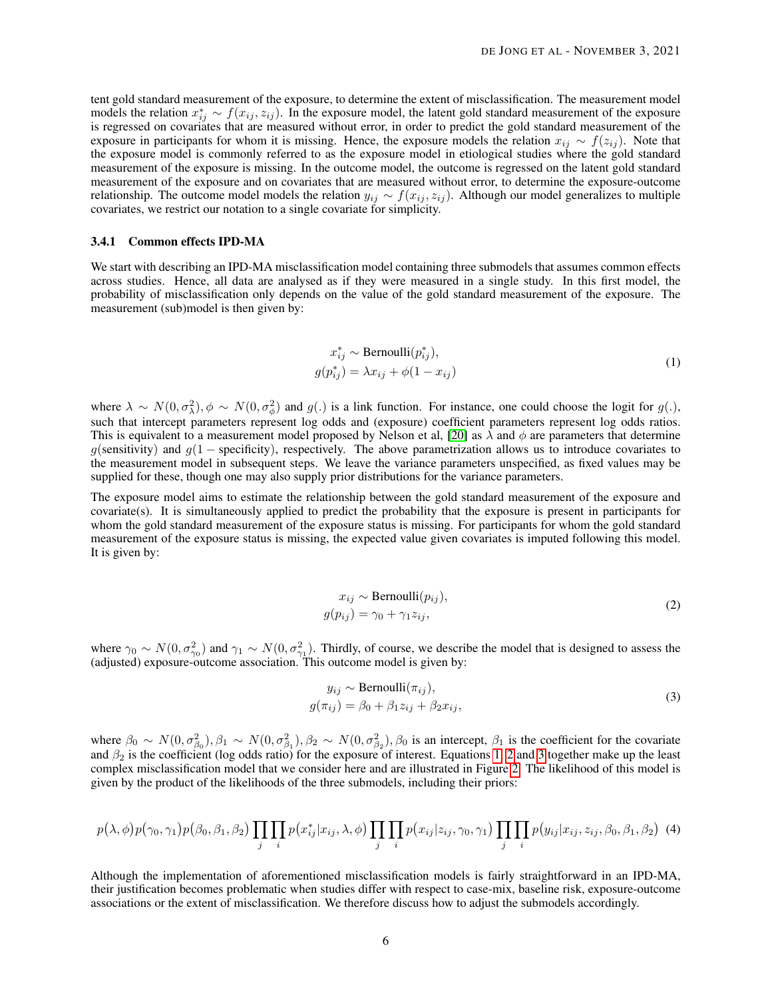tent gold standard measurement of the exposure, to determine the extent of misclassification. The measurement model models the relation  $x_{ij}^* \sim f(x_{ij}, z_{ij})$ . In the exposure model, the latent gold standard measurement of the exposure is regressed on covariates that are measured without error, in order to predict the gold standard measurement of the exposure in participants for whom it is missing. Hence, the exposure models the relation  $x_{ij} \sim f(z_{ij})$ . Note that the exposure model is commonly referred to as the exposure model in etiological studies where the gold standard measurement of the exposure is missing. In the outcome model, the outcome is regressed on the latent gold standard measurement of the exposure and on covariates that are measured without error, to determine the exposure-outcome relationship. The outcome model models the relation  $y_{ij} \sim f(x_{ij}, z_{ij})$ . Although our model generalizes to multiple covariates, we restrict our notation to a single covariate for simplicity.

#### 3.4.1 Common effects IPD-MA

We start with describing an IPD-MA misclassification model containing three submodels that assumes common effects across studies. Hence, all data are analysed as if they were measured in a single study. In this first model, the probability of misclassification only depends on the value of the gold standard measurement of the exposure. The measurement (sub)model is then given by:

$$
x_{ij}^* \sim \text{Bernoulli}(p_{ij}^*),
$$
  
\n
$$
g(p_{ij}^*) = \lambda x_{ij} + \phi(1 - x_{ij})
$$
\n(1)

<span id="page-5-0"></span>where  $\lambda \sim N(0, \sigma_{\lambda}^2), \phi \sim N(0, \sigma_{\phi}^2)$  and  $g(.)$  is a link function. For instance, one could choose the logit for  $g(.)$ , such that intercept parameters represent log odds and (exposure) coefficient parameters represent log odds ratios. This is equivalent to a measurement model proposed by Nelson et al, [\[20\]](#page-20-2) as  $\lambda$  and  $\phi$  are parameters that determine g(sensitivity) and  $g(1 -$  specificity), respectively. The above parametrization allows us to introduce covariates to the measurement model in subsequent steps. We leave the variance parameters unspecified, as fixed values may be supplied for these, though one may also supply prior distributions for the variance parameters.

The exposure model aims to estimate the relationship between the gold standard measurement of the exposure and covariate(s). It is simultaneously applied to predict the probability that the exposure is present in participants for whom the gold standard measurement of the exposure status is missing. For participants for whom the gold standard measurement of the exposure status is missing, the expected value given covariates is imputed following this model. It is given by:

$$
x_{ij} \sim \text{Bernoulli}(p_{ij}),
$$
  
 
$$
g(p_{ij}) = \gamma_0 + \gamma_1 z_{ij},
$$
 (2)

<span id="page-5-1"></span>where  $\gamma_0 \sim N(0, \sigma_{\gamma_0}^2)$  and  $\gamma_1 \sim N(0, \sigma_{\gamma_1}^2)$ . Thirdly, of course, we describe the model that is designed to assess the (adjusted) exposure-outcome association. This outcome model is given by:

$$
y_{ij} \sim \text{Bernoulli}(\pi_{ij}),
$$
  
 
$$
g(\pi_{ij}) = \beta_0 + \beta_1 z_{ij} + \beta_2 x_{ij},
$$
 (3)

<span id="page-5-2"></span>where  $\beta_0 \sim N(0, \sigma_{\beta_0}^2), \beta_1 \sim N(0, \sigma_{\beta_1}^2), \beta_2 \sim N(0, \sigma_{\beta_2}^2), \beta_0$  is an intercept,  $\beta_1$  is the coefficient for the covariate and  $\beta_2$  is the coefficient (log odds ratio) for the exposure of interest. Equations [1,](#page-5-0) [2](#page-5-1) and [3](#page-5-2) together make up the least complex misclassification model that we consider here and are illustrated in Figure [2.](#page-6-0) The likelihood of this model is given by the product of the likelihoods of the three submodels, including their priors:

$$
p(\lambda, \phi) p(\gamma_0, \gamma_1) p(\beta_0, \beta_1, \beta_2) \prod_j \prod_i p(x_{ij}^* | x_{ij}, \lambda, \phi) \prod_j \prod_i p(x_{ij} | z_{ij}, \gamma_0, \gamma_1) \prod_j \prod_i p(y_{ij} | x_{ij}, z_{ij}, \beta_0, \beta_1, \beta_2)
$$
 (4)

Although the implementation of aforementioned misclassification models is fairly straightforward in an IPD-MA, their justification becomes problematic when studies differ with respect to case-mix, baseline risk, exposure-outcome associations or the extent of misclassification. We therefore discuss how to adjust the submodels accordingly.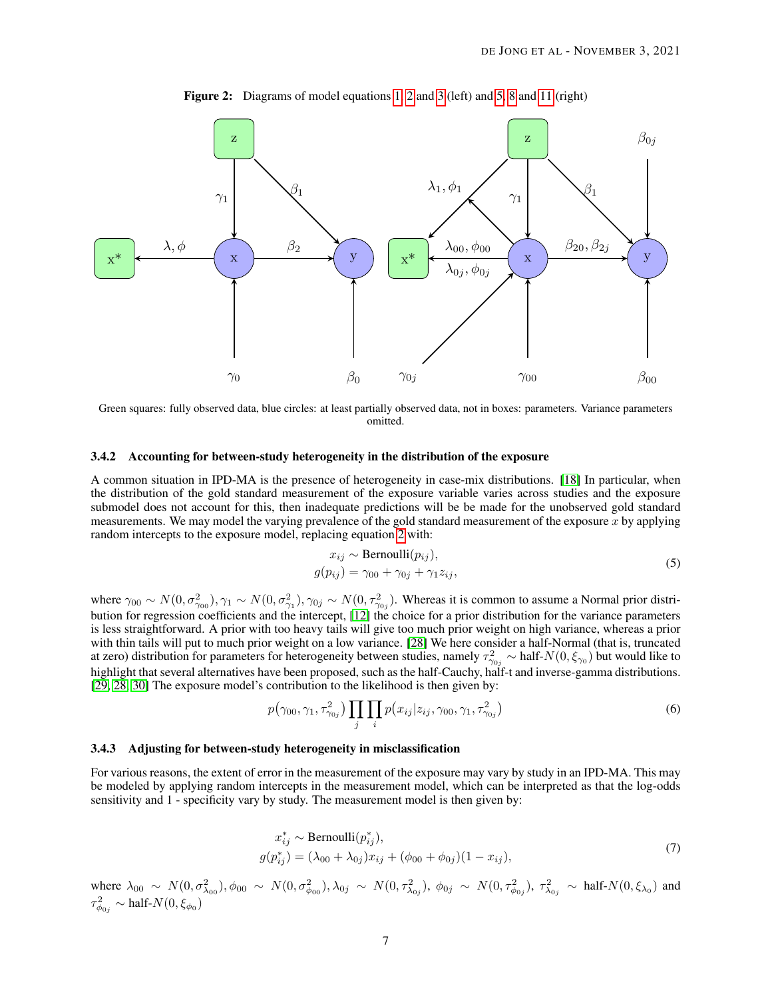<span id="page-6-0"></span>

Figure 2: Diagrams of model equations [1,](#page-5-0) [2](#page-5-1) and [3](#page-5-2) (left) and [5,](#page-6-1) [8](#page-7-0) and [11](#page-7-1) (right)

Green squares: fully observed data, blue circles: at least partially observed data, not in boxes: parameters. Variance parameters omitted.

# 3.4.2 Accounting for between-study heterogeneity in the distribution of the exposure

A common situation in IPD-MA is the presence of heterogeneity in case-mix distributions. [\[18\]](#page-20-0) In particular, when the distribution of the gold standard measurement of the exposure variable varies across studies and the exposure submodel does not account for this, then inadequate predictions will be be made for the unobserved gold standard measurements. We may model the varying prevalence of the gold standard measurement of the exposure  $x$  by applying random intercepts to the exposure model, replacing equation [2](#page-5-1) with:

$$
x_{ij} \sim \text{Bernoulli}(p_{ij}),
$$
  
 
$$
g(p_{ij}) = \gamma_{00} + \gamma_{0j} + \gamma_1 z_{ij},
$$
 (5)

<span id="page-6-1"></span>where  $\gamma_{00} \sim N(0, \sigma_{\gamma_{00}}^2), \gamma_1 \sim N(0, \sigma_{\gamma_1}^2), \gamma_{0j} \sim N(0, \tau_{\gamma_{0j}}^2)$ . Whereas it is common to assume a Normal prior distribution for regression coefficients and the intercept, [\[12\]](#page-19-11) the choice for a prior distribution for the variance parameters is less straightforward. A prior with too heavy tails will give too much prior weight on high variance, whereas a prior with thin tails will put to much prior weight on a low variance. [\[28\]](#page-20-10) We here consider a half-Normal (that is, truncated at zero) distribution for parameters for heterogeneity between studies, namely  $\tau_{\gamma_{0j}}^2 \sim \text{half-}N(0,\xi_{\gamma_0})$  but would like to highlight that several alternatives have been proposed, such as the half-Cauchy, half-t and inverse-gamma distributions. [\[29,](#page-20-11) [28,](#page-20-10) [30\]](#page-20-12) The exposure model's contribution to the likelihood is then given by:

$$
p(\gamma_{00}, \gamma_1, \tau_{\gamma_{0j}}^2) \prod_j \prod_i p(x_{ij}|z_{ij}, \gamma_{00}, \gamma_1, \tau_{\gamma_{0j}}^2)
$$
\n(6)

#### 3.4.3 Adjusting for between-study heterogeneity in misclassification

For various reasons, the extent of error in the measurement of the exposure may vary by study in an IPD-MA. This may be modeled by applying random intercepts in the measurement model, which can be interpreted as that the log-odds sensitivity and 1 - specificity vary by study. The measurement model is then given by:

$$
x_{ij}^* \sim \text{Bernoulli}(p_{ij}^*),
$$
  
\n
$$
g(p_{ij}^*) = (\lambda_{00} + \lambda_{0j})x_{ij} + (\phi_{00} + \phi_{0j})(1 - x_{ij}),
$$
\n(7)

<span id="page-6-2"></span>where  $\lambda_{00} \sim N(0, \sigma_{\lambda_{00}}^2)$ ,  $\phi_{00} \sim N(0, \sigma_{\phi_{00}}^2)$ ,  $\lambda_{0j} \sim N(0, \tau_{\lambda_{0j}}^2)$ ,  $\phi_{0j} \sim N(0, \tau_{\phi_{0j}}^2)$ ,  $\tau_{\lambda_{0j}}^2 \sim \text{half-}N(0, \xi_{\lambda_0})$  and  $\tau^2_{\phi 0j} \sim \text{half-}N(0,\xi_{\phi_0})$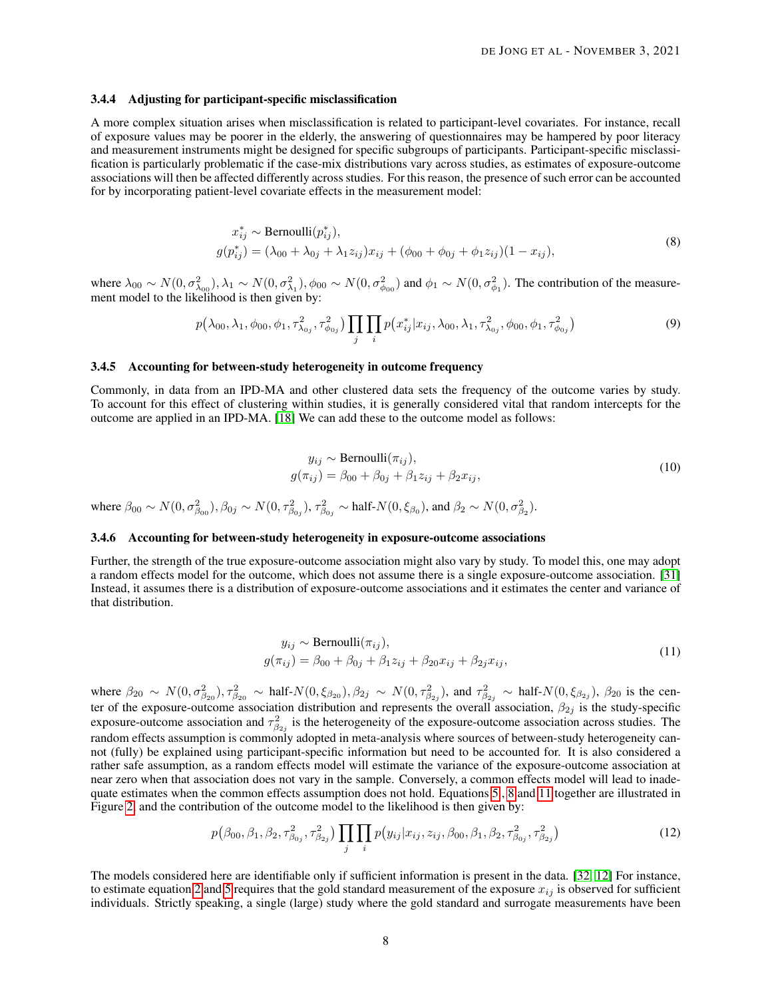#### 3.4.4 Adjusting for participant-specific misclassification

A more complex situation arises when misclassification is related to participant-level covariates. For instance, recall of exposure values may be poorer in the elderly, the answering of questionnaires may be hampered by poor literacy and measurement instruments might be designed for specific subgroups of participants. Participant-specific misclassification is particularly problematic if the case-mix distributions vary across studies, as estimates of exposure-outcome associations will then be affected differently across studies. For this reason, the presence of such error can be accounted for by incorporating patient-level covariate effects in the measurement model:

$$
x_{ij}^* \sim \text{Bernoulli}(p_{ij}^*),
$$
  
\n
$$
g(p_{ij}^*) = (\lambda_{00} + \lambda_{0j} + \lambda_1 z_{ij})x_{ij} + (\phi_{00} + \phi_{0j} + \phi_1 z_{ij})(1 - x_{ij}),
$$
\n(8)

<span id="page-7-0"></span>where  $\lambda_{00} \sim N(0, \sigma_{\lambda_{00}}^2), \lambda_1 \sim N(0, \sigma_{\lambda_1}^2), \phi_{00} \sim N(0, \sigma_{\phi_{00}}^2)$  and  $\phi_1 \sim N(0, \sigma_{\phi_1}^2)$ . The contribution of the measurement model to the likelihood is then given by:

$$
p(\lambda_{00}, \lambda_1, \phi_{00}, \phi_1, \tau_{\lambda_{0j}}^2, \tau_{\phi_{0j}}^2) \prod_j \prod_i p(x_{ij}^* | x_{ij}, \lambda_{00}, \lambda_1, \tau_{\lambda_{0j}}^2, \phi_{00}, \phi_1, \tau_{\phi_{0j}}^2)
$$
(9)

#### 3.4.5 Accounting for between-study heterogeneity in outcome frequency

Commonly, in data from an IPD-MA and other clustered data sets the frequency of the outcome varies by study. To account for this effect of clustering within studies, it is generally considered vital that random intercepts for the outcome are applied in an IPD-MA. [\[18\]](#page-20-0) We can add these to the outcome model as follows:

$$
y_{ij} \sim \text{Bernoulli}(\pi_{ij}),
$$
  
\n
$$
g(\pi_{ij}) = \beta_{00} + \beta_{0j} + \beta_1 z_{ij} + \beta_2 x_{ij},
$$
\n(10)

<span id="page-7-2"></span>where  $\beta_{00} \sim N(0, \sigma_{\beta_{00}}^2), \beta_{0j} \sim N(0, \tau_{\beta_{0j}}^2), \tau_{\beta_{0j}}^2 \sim \text{half-}N(0, \xi_{\beta_0}), \text{and } \beta_2 \sim N(0, \sigma_{\beta_2}^2).$ 

# 3.4.6 Accounting for between-study heterogeneity in exposure-outcome associations

Further, the strength of the true exposure-outcome association might also vary by study. To model this, one may adopt a random effects model for the outcome, which does not assume there is a single exposure-outcome association. [\[31\]](#page-20-13) Instead, it assumes there is a distribution of exposure-outcome associations and it estimates the center and variance of that distribution.

$$
y_{ij} \sim \text{Bernoulli}(\pi_{ij}),
$$
  
 
$$
g(\pi_{ij}) = \beta_{00} + \beta_{0j} + \beta_{1}z_{ij} + \beta_{20}x_{ij} + \beta_{2j}x_{ij},
$$
 (11)

<span id="page-7-1"></span>where  $\beta_{20} \sim N(0, \sigma_{\beta_{20}}^2), \tau_{\beta_{20}}^2 \sim \text{half-}N(0, \xi_{\beta_{20}}), \beta_{2j} \sim N(0, \tau_{\beta_{2j}}^2)$ , and  $\tau_{\beta_{2j}}^2 \sim \text{half-}N(0, \xi_{\beta_{2j}}), \beta_{20}$  is the center of the exposure-outcome association distribution and represents the overall association,  $\beta_{2j}$  is the study-specific exposure-outcome association and  $\tau_{\beta_{2j}}^2$  is the heterogeneity of the exposure-outcome association across studies. The random effects assumption is commonly adopted in meta-analysis where sources of between-study heterogeneity cannot (fully) be explained using participant-specific information but need to be accounted for. It is also considered a rather safe assumption, as a random effects model will estimate the variance of the exposure-outcome association at near zero when that association does not vary in the sample. Conversely, a common effects model will lead to inadequate estimates when the common effects assumption does not hold. Equations [5](#page-6-1) , [8](#page-7-0) and [11](#page-7-1) together are illustrated in Figure [2,](#page-6-0) and the contribution of the outcome model to the likelihood is then given by:

$$
p(\beta_{00}, \beta_1, \beta_2, \tau_{\beta_{0j}}^2, \tau_{\beta_{2j}}^2) \prod_j \prod_i p(y_{ij} | x_{ij}, z_{ij}, \beta_{00}, \beta_1, \beta_2, \tau_{\beta_{0j}}^2, \tau_{\beta_{2j}}^2)
$$
(12)

The models considered here are identifiable only if sufficient information is present in the data. [\[32,](#page-20-14) [12\]](#page-19-11) For instance, to estimate equation [2](#page-5-1) and [5](#page-6-1) requires that the gold standard measurement of the exposure  $x_{ij}$  is observed for sufficient individuals. Strictly speaking, a single (large) study where the gold standard and surrogate measurements have been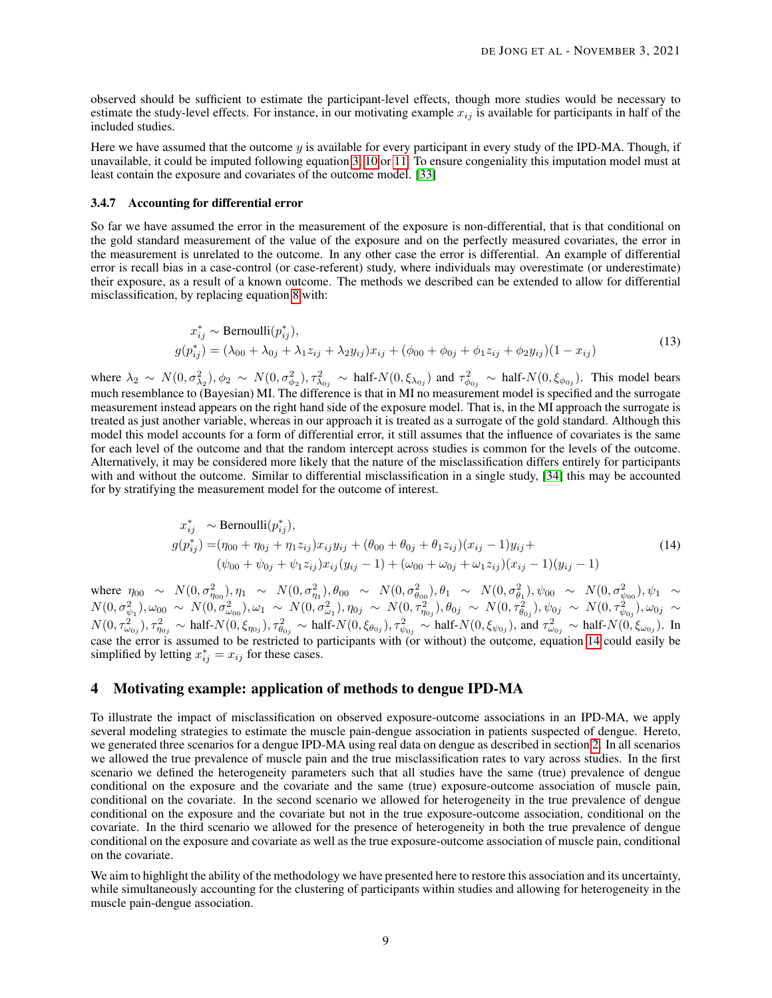observed should be sufficient to estimate the participant-level effects, though more studies would be necessary to estimate the study-level effects. For instance, in our motivating example  $x_{ij}$  is available for participants in half of the included studies.

Here we have assumed that the outcome y is available for every participant in every study of the IPD-MA. Though, if unavailable, it could be imputed following equation [3,](#page-5-2) [10](#page-7-2) or [11.](#page-7-1) To ensure congeniality this imputation model must at least contain the exposure and covariates of the outcome model. [\[33\]](#page-20-15)

#### 3.4.7 Accounting for differential error

So far we have assumed the error in the measurement of the exposure is non-differential, that is that conditional on the gold standard measurement of the value of the exposure and on the perfectly measured covariates, the error in the measurement is unrelated to the outcome. In any other case the error is differential. An example of differential error is recall bias in a case-control (or case-referent) study, where individuals may overestimate (or underestimate) their exposure, as a result of a known outcome. The methods we described can be extended to allow for differential misclassification, by replacing equation [8](#page-7-0) with:

$$
x_{ij}^* \sim \text{Bernoulli}(p_{ij}^*),
$$
  
\n
$$
g(p_{ij}^*) = (\lambda_{00} + \lambda_{0j} + \lambda_1 z_{ij} + \lambda_2 y_{ij})x_{ij} + (\phi_{00} + \phi_{0j} + \phi_1 z_{ij} + \phi_2 y_{ij})(1 - x_{ij})
$$
\n(13)

<span id="page-8-2"></span>where  $\lambda_2 \sim N(0, \sigma_{\lambda_2}^2), \phi_2 \sim N(0, \sigma_{\phi_2}^2), \tau_{\lambda_{0j}}^2 \sim \text{half-}N(0, \xi_{\lambda_{0j}})$  and  $\tau_{\phi_{0j}}^2 \sim \text{half-}N(0, \xi_{\phi_{0j}})$ . This model bears much resemblance to (Bayesian) MI. The difference is that in MI no measurement model is specified and the surrogate measurement instead appears on the right hand side of the exposure model. That is, in the MI approach the surrogate is treated as just another variable, whereas in our approach it is treated as a surrogate of the gold standard. Although this model this model accounts for a form of differential error, it still assumes that the influence of covariates is the same for each level of the outcome and that the random intercept across studies is common for the levels of the outcome. Alternatively, it may be considered more likely that the nature of the misclassification differs entirely for participants with and without the outcome. Similar to differential misclassification in a single study, [\[34\]](#page-20-16) this may be accounted for by stratifying the measurement model for the outcome of interest.

$$
x_{ij}^* \sim \text{Bernoulli}(p_{ij}^*),
$$
  
\n
$$
g(p_{ij}^*) = (\eta_{00} + \eta_{0j} + \eta_{1}z_{ij})x_{ij}y_{ij} + (\theta_{00} + \theta_{0j} + \theta_{1}z_{ij})(x_{ij} - 1)y_{ij} +
$$
  
\n
$$
(\psi_{00} + \psi_{0j} + \psi_{1}z_{ij})x_{ij}(y_{ij} - 1) + (\omega_{00} + \omega_{0j} + \omega_{1}z_{ij})(x_{ij} - 1)(y_{ij} - 1)
$$
\n(14)

<span id="page-8-1"></span>where  $\eta_{00} \sim N(0, \sigma_{\eta_{00}}^2), \eta_1 \sim N(0, \sigma_{\eta_1}^2), \theta_{00} \sim N(0, \sigma_{\theta_{00}}^2), \theta_1 \sim N(0, \sigma_{\theta_1}^2), \psi_{00} \sim N(0, \sigma_{\psi_{00}}^2), \psi_1 \sim N(0, \sigma_{\eta_0}^2)$  $N(0, \sigma_{\psi_1}^2), \omega_{00} \sim N(0, \sigma_{\omega_{00}}^2), \omega_1 \sim N(0, \sigma_{\omega_1}^2), \eta_{0j} \sim N(0, \tau_{\eta_{0j}}^2), \theta_{0j} \sim N(0, \tau_{\theta_{0j}}^2), \psi_{0j} \sim N(0, \tau_{\psi_{0j}}^2), \omega_{0j} \sim N(0, \tau_{\phi_{0j}}^2)$  $N(0, \tau_{\omega_{0j}}^2), \tau_{\eta_{0j}}^2 \sim \text{half-}N(0, \xi_{\eta_{0j}}), \tau_{\theta_{0j}}^2 \sim \text{half-}N(0, \xi_{\theta_{0j}}), \tau_{\psi_{0j}}^2 \sim \text{half-}N(0, \xi_{\psi_{0j}}),$  and  $\tau_{\omega_{0j}}^2 \sim \text{half-}N(0, \xi_{\omega_{0j}})$ . In case the error is assumed to be restricted to participants with (or without) the outcome, equation [14](#page-8-1) could easily be simplified by letting  $x_{ij}^* = x_{ij}$  for these cases.

## <span id="page-8-0"></span>4 Motivating example: application of methods to dengue IPD-MA

To illustrate the impact of misclassification on observed exposure-outcome associations in an IPD-MA, we apply several modeling strategies to estimate the muscle pain-dengue association in patients suspected of dengue. Hereto, we generated three scenarios for a dengue IPD-MA using real data on dengue as described in section [2.](#page-1-0) In all scenarios we allowed the true prevalence of muscle pain and the true misclassification rates to vary across studies. In the first scenario we defined the heterogeneity parameters such that all studies have the same (true) prevalence of dengue conditional on the exposure and the covariate and the same (true) exposure-outcome association of muscle pain, conditional on the covariate. In the second scenario we allowed for heterogeneity in the true prevalence of dengue conditional on the exposure and the covariate but not in the true exposure-outcome association, conditional on the covariate. In the third scenario we allowed for the presence of heterogeneity in both the true prevalence of dengue conditional on the exposure and covariate as well as the true exposure-outcome association of muscle pain, conditional on the covariate.

We aim to highlight the ability of the methodology we have presented here to restore this association and its uncertainty, while simultaneously accounting for the clustering of participants within studies and allowing for heterogeneity in the muscle pain-dengue association.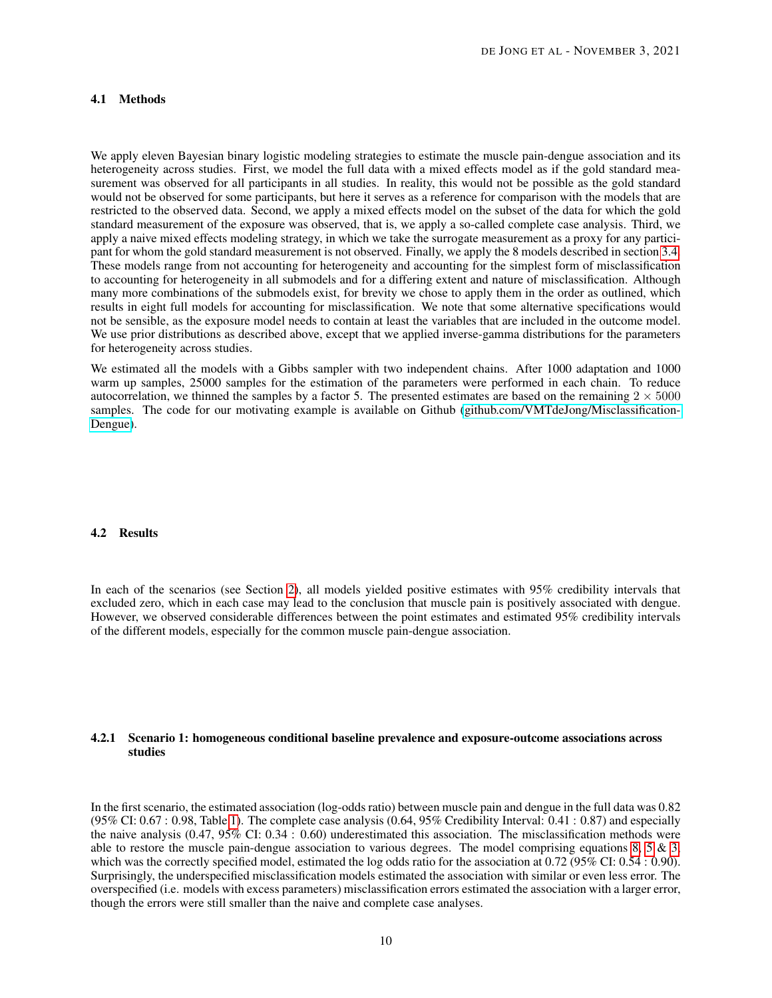## 4.1 Methods

We apply eleven Bayesian binary logistic modeling strategies to estimate the muscle pain-dengue association and its heterogeneity across studies. First, we model the full data with a mixed effects model as if the gold standard measurement was observed for all participants in all studies. In reality, this would not be possible as the gold standard would not be observed for some participants, but here it serves as a reference for comparison with the models that are restricted to the observed data. Second, we apply a mixed effects model on the subset of the data for which the gold standard measurement of the exposure was observed, that is, we apply a so-called complete case analysis. Third, we apply a naive mixed effects modeling strategy, in which we take the surrogate measurement as a proxy for any participant for whom the gold standard measurement is not observed. Finally, we apply the 8 models described in section [3.4.](#page-4-0) These models range from not accounting for heterogeneity and accounting for the simplest form of misclassification to accounting for heterogeneity in all submodels and for a differing extent and nature of misclassification. Although many more combinations of the submodels exist, for brevity we chose to apply them in the order as outlined, which results in eight full models for accounting for misclassification. We note that some alternative specifications would not be sensible, as the exposure model needs to contain at least the variables that are included in the outcome model. We use prior distributions as described above, except that we applied inverse-gamma distributions for the parameters for heterogeneity across studies.

We estimated all the models with a Gibbs sampler with two independent chains. After 1000 adaptation and 1000 warm up samples, 25000 samples for the estimation of the parameters were performed in each chain. To reduce autocorrelation, we thinned the samples by a factor 5. The presented estimates are based on the remaining  $2 \times 5000$ samples. The code for our motivating example is available on Github [\(github.com/VMTdeJong/Misclassification-](https://github.com/VMTdeJong/Misclassification-Dengue)[Dengue\)](https://github.com/VMTdeJong/Misclassification-Dengue).

## 4.2 Results

In each of the scenarios (see Section [2\)](#page-1-0), all models yielded positive estimates with 95% credibility intervals that excluded zero, which in each case may lead to the conclusion that muscle pain is positively associated with dengue. However, we observed considerable differences between the point estimates and estimated 95% credibility intervals of the different models, especially for the common muscle pain-dengue association.

## 4.2.1 Scenario 1: homogeneous conditional baseline prevalence and exposure-outcome associations across studies

In the first scenario, the estimated association (log-odds ratio) between muscle pain and dengue in the full data was 0.82 (95% CI: 0.67 : 0.98, Table [1\)](#page-10-0). The complete case analysis (0.64, 95% Credibility Interval: 0.41 : 0.87) and especially the naive analysis (0.47, 95% CI: 0.34 : 0.60) underestimated this association. The misclassification methods were able to restore the muscle pain-dengue association to various degrees. The model comprising equations [8,](#page-7-0) [5](#page-6-1)  $\&$  [3,](#page-5-2) which was the correctly specified model, estimated the log odds ratio for the association at 0.72 (95% CI: 0.54 : 0.90). Surprisingly, the underspecified misclassification models estimated the association with similar or even less error. The overspecified (i.e. models with excess parameters) misclassification errors estimated the association with a larger error, though the errors were still smaller than the naive and complete case analyses.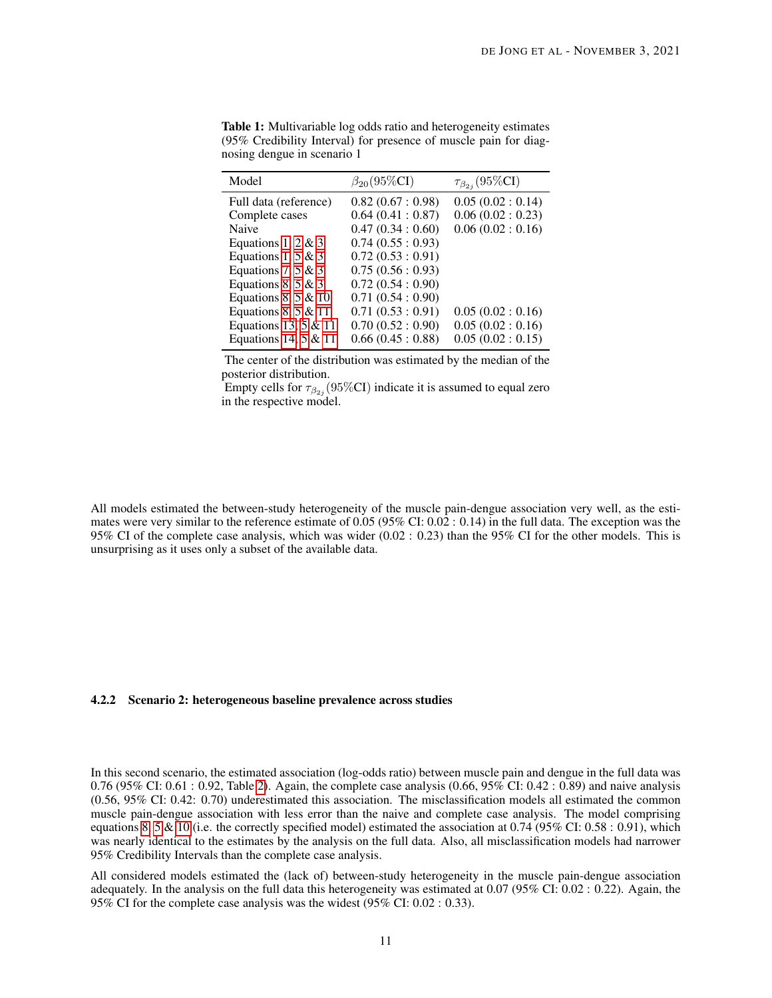| Model                  | $\beta_{20}(95\%CI)$ | $\tau_{\beta_{2i}}(95\%CI)$ |  |
|------------------------|----------------------|-----------------------------|--|
| Full data (reference)  | 0.82(0.67:0.98)      | 0.05(0.02:0.14)             |  |
| Complete cases         | 0.64(0.41:0.87)      | 0.06(0.02:0.23)             |  |
| Naive                  | 0.47(0.34:0.60)      | 0.06(0.02:0.16)             |  |
| Equations 1, 2 & 3     | 0.74(0.55:0.93)      |                             |  |
| Equations 1, 5 & 3     | 0.72(0.53:0.91)      |                             |  |
| Equations 7, 5 & 3     | 0.75(0.56:0.93)      |                             |  |
| Equations 8, 5 & 3     | 0.72(0.54:0.90)      |                             |  |
| Equations 8, 5 & 10    | 0.71(0.54:0.90)      |                             |  |
| Equations 8, 5 & 11    | 0.71(0.53:0.91)      | 0.05(0.02:0.16)             |  |
| Equations 13, $5 & 11$ | 0.70(0.52:0.90)      | 0.05(0.02:0.16)             |  |
| Equations 14, $5 & 11$ | 0.66(0.45:0.88)      | 0.05(0.02:0.15)             |  |

<span id="page-10-0"></span>Table 1: Multivariable log odds ratio and heterogeneity estimates (95% Credibility Interval) for presence of muscle pain for diagnosing dengue in scenario 1

The center of the distribution was estimated by the median of the posterior distribution.

Empty cells for  $\tau_{\beta_{2j}}(95\% CI)$  indicate it is assumed to equal zero in the respective model.

All models estimated the between-study heterogeneity of the muscle pain-dengue association very well, as the estimates were very similar to the reference estimate of  $0.05$  (95% CI:  $0.02$ :  $0.14$ ) in the full data. The exception was the 95% CI of the complete case analysis, which was wider (0.02 : 0.23) than the 95% CI for the other models. This is unsurprising as it uses only a subset of the available data.

#### 4.2.2 Scenario 2: heterogeneous baseline prevalence across studies

In this second scenario, the estimated association (log-odds ratio) between muscle pain and dengue in the full data was 0.76 (95% CI: 0.61 : 0.92, Table [2\)](#page-11-0). Again, the complete case analysis (0.66, 95% CI: 0.42 : 0.89) and naive analysis (0.56, 95% CI: 0.42: 0.70) underestimated this association. The misclassification models all estimated the common muscle pain-dengue association with less error than the naive and complete case analysis. The model comprising equations [8,](#page-7-0) [5](#page-6-1) & [10](#page-7-2) (i.e. the correctly specified model) estimated the association at 0.74 (95% CI: 0.58 : 0.91), which was nearly identical to the estimates by the analysis on the full data. Also, all misclassification models had narrower 95% Credibility Intervals than the complete case analysis.

All considered models estimated the (lack of) between-study heterogeneity in the muscle pain-dengue association adequately. In the analysis on the full data this heterogeneity was estimated at 0.07 (95% CI: 0.02 : 0.22). Again, the 95% CI for the complete case analysis was the widest (95% CI: 0.02 : 0.33).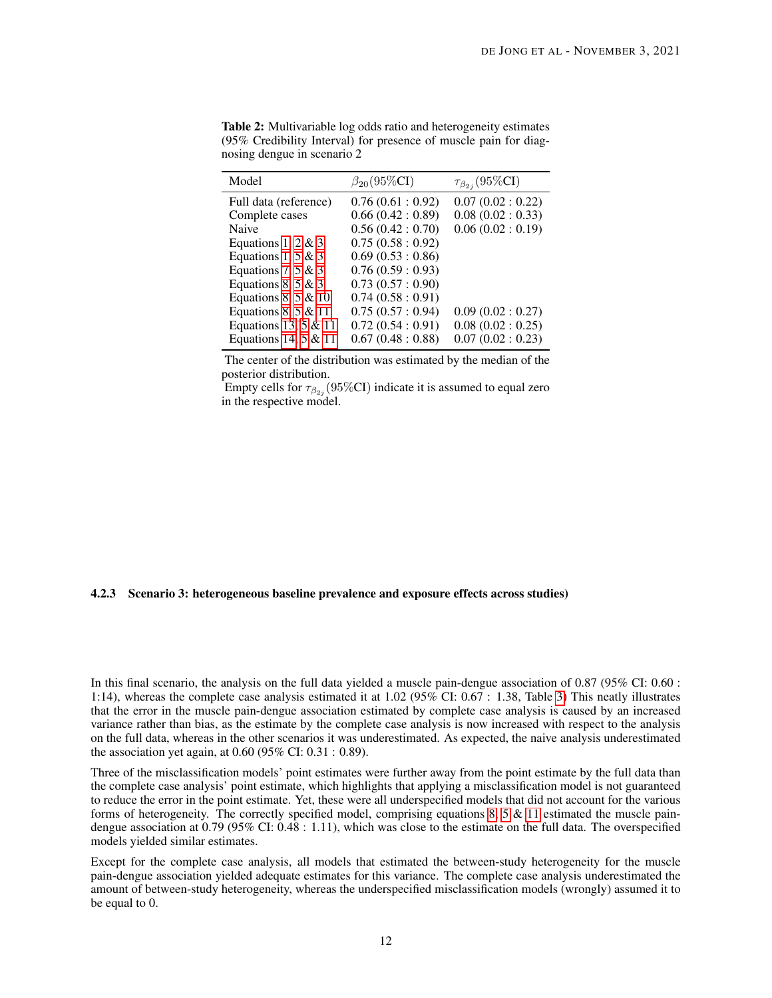| Model                  | $\beta_{20}(95\%CI)$ | $\tau_{\beta_{2i}}(95\%CI)$ |  |
|------------------------|----------------------|-----------------------------|--|
| Full data (reference)  | 0.76(0.61:0.92)      | 0.07(0.02:0.22)             |  |
| Complete cases         | 0.66(0.42:0.89)      | 0.08(0.02:0.33)             |  |
| Naive                  | 0.56(0.42:0.70)      | 0.06(0.02:0.19)             |  |
| Equations 1, 2 & 3     | 0.75(0.58:0.92)      |                             |  |
| Equations 1, 5 & 3     | 0.69(0.53:0.86)      |                             |  |
| Equations 7, 5 & 3     | 0.76(0.59:0.93)      |                             |  |
| Equations 8, 5 & 3     | 0.73(0.57:0.90)      |                             |  |
| Equations 8, 5 & 10    | 0.74(0.58:0.91)      |                             |  |
| Equations 8, 5 & 11    | 0.75(0.57:0.94)      | 0.09(0.02:0.27)             |  |
| Equations 13, 5 & 11   | 0.72(0.54:0.91)      | 0.08(0.02:0.25)             |  |
| Equations 14, $5 & 11$ | 0.67(0.48:0.88)      | 0.07(0.02:0.23)             |  |

<span id="page-11-0"></span>Table 2: Multivariable log odds ratio and heterogeneity estimates (95% Credibility Interval) for presence of muscle pain for diagnosing dengue in scenario 2

The center of the distribution was estimated by the median of the posterior distribution.

Empty cells for  $\tau_{\beta_{2j}}(95\% CI)$  indicate it is assumed to equal zero in the respective model.

#### 4.2.3 Scenario 3: heterogeneous baseline prevalence and exposure effects across studies)

In this final scenario, the analysis on the full data yielded a muscle pain-dengue association of 0.87 (95% CI: 0.60 : 1:14), whereas the complete case analysis estimated it at 1.02 (95% CI: 0.67 : 1.38, Table [3\)](#page-12-0) This neatly illustrates that the error in the muscle pain-dengue association estimated by complete case analysis is caused by an increased variance rather than bias, as the estimate by the complete case analysis is now increased with respect to the analysis on the full data, whereas in the other scenarios it was underestimated. As expected, the naive analysis underestimated the association yet again, at 0.60 (95% CI: 0.31 : 0.89).

Three of the misclassification models' point estimates were further away from the point estimate by the full data than the complete case analysis' point estimate, which highlights that applying a misclassification model is not guaranteed to reduce the error in the point estimate. Yet, these were all underspecified models that did not account for the various forms of heterogeneity. The correctly specified model, comprising equations [8,](#page-7-0) [5](#page-6-1)  $\&$  [11](#page-7-1) estimated the muscle paindengue association at 0.79 (95% CI: 0.48 : 1.11), which was close to the estimate on the full data. The overspecified models yielded similar estimates.

Except for the complete case analysis, all models that estimated the between-study heterogeneity for the muscle pain-dengue association yielded adequate estimates for this variance. The complete case analysis underestimated the amount of between-study heterogeneity, whereas the underspecified misclassification models (wrongly) assumed it to be equal to 0.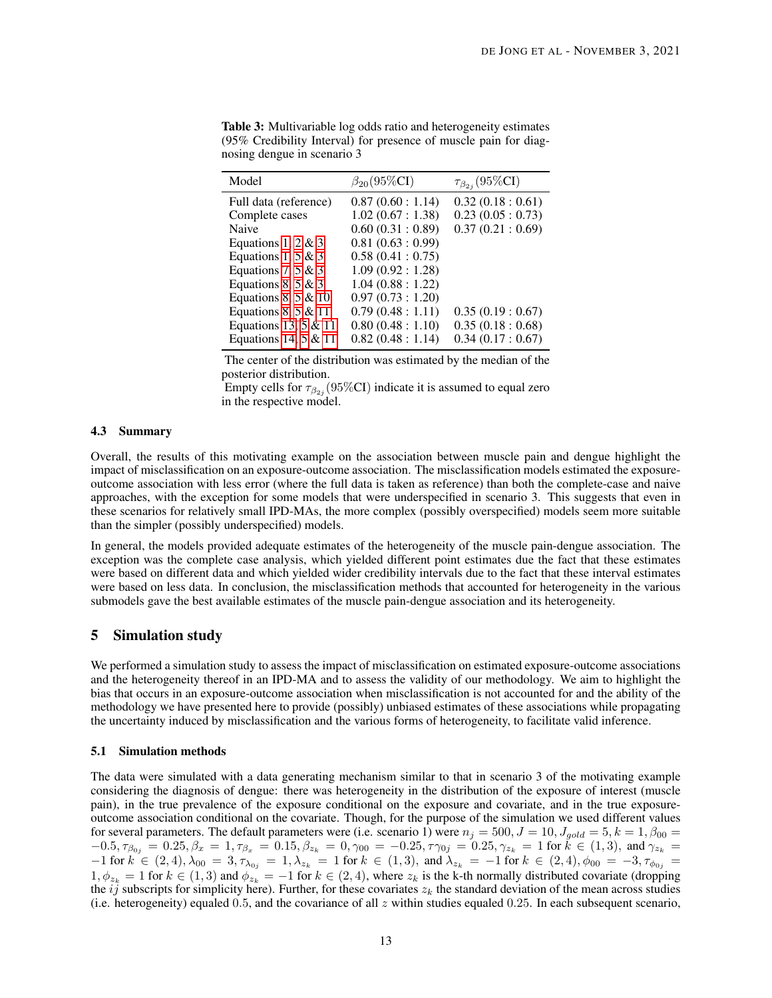| Model                  | $\beta_{20}(95\%CI)$ | $\tau_{\beta_{2i}}(95\%CI)$ |  |
|------------------------|----------------------|-----------------------------|--|
| Full data (reference)  | 0.87(0.60:1.14)      | 0.32(0.18:0.61)             |  |
| Complete cases         | 1.02(0.67:1.38)      | 0.23(0.05:0.73)             |  |
| Naive                  | 0.60(0.31:0.89)      | 0.37(0.21:0.69)             |  |
| Equations 1, 2 & 3     | 0.81(0.63:0.99)      |                             |  |
| Equations 1, 5 & 3     | 0.58(0.41:0.75)      |                             |  |
| Equations 7, 5 & 3     | 1.09(0.92:1.28)      |                             |  |
| Equations 8, 5 & 3     | 1.04(0.88:1.22)      |                             |  |
| Equations 8, 5 & 10    | 0.97(0.73:1.20)      |                             |  |
| Equations 8, 5 & 11    | 0.79(0.48:1.11)      | 0.35(0.19:0.67)             |  |
| Equations 13, 5 & 11   | 0.80(0.48:1.10)      | 0.35(0.18:0.68)             |  |
| Equations 14, $5 & 11$ | 0.82(0.48:1.14)      | 0.34(0.17:0.67)             |  |

<span id="page-12-0"></span>Table 3: Multivariable log odds ratio and heterogeneity estimates (95% Credibility Interval) for presence of muscle pain for diagnosing dengue in scenario 3

The center of the distribution was estimated by the median of the posterior distribution.

Empty cells for  $\tau_{\beta_{2j}}(95\% CI)$  indicate it is assumed to equal zero in the respective model.

#### 4.3 Summary

Overall, the results of this motivating example on the association between muscle pain and dengue highlight the impact of misclassification on an exposure-outcome association. The misclassification models estimated the exposureoutcome association with less error (where the full data is taken as reference) than both the complete-case and naive approaches, with the exception for some models that were underspecified in scenario 3. This suggests that even in these scenarios for relatively small IPD-MAs, the more complex (possibly overspecified) models seem more suitable than the simpler (possibly underspecified) models.

In general, the models provided adequate estimates of the heterogeneity of the muscle pain-dengue association. The exception was the complete case analysis, which yielded different point estimates due the fact that these estimates were based on different data and which yielded wider credibility intervals due to the fact that these interval estimates were based on less data. In conclusion, the misclassification methods that accounted for heterogeneity in the various submodels gave the best available estimates of the muscle pain-dengue association and its heterogeneity.

# 5 Simulation study

We performed a simulation study to assess the impact of misclassification on estimated exposure-outcome associations and the heterogeneity thereof in an IPD-MA and to assess the validity of our methodology. We aim to highlight the bias that occurs in an exposure-outcome association when misclassification is not accounted for and the ability of the methodology we have presented here to provide (possibly) unbiased estimates of these associations while propagating the uncertainty induced by misclassification and the various forms of heterogeneity, to facilitate valid inference.

#### 5.1 Simulation methods

The data were simulated with a data generating mechanism similar to that in scenario 3 of the motivating example considering the diagnosis of dengue: there was heterogeneity in the distribution of the exposure of interest (muscle pain), in the true prevalence of the exposure conditional on the exposure and covariate, and in the true exposureoutcome association conditional on the covariate. Though, for the purpose of the simulation we used different values for several parameters. The default parameters were (i.e. scenario 1) were  $n_j = 500, J = 10, J_{gold} = 5, k = 1, \beta_{00} = 10$  $-0.5, \tau_{\beta_{0j}} = 0.25, \beta_x = 1, \tau_{\beta_x} = 0.15, \beta_{z_k} = 0, \gamma_{00} = -0.25, \tau_{\gamma_{0j}} = 0.25, \gamma_{z_k} = 1$  for  $k \in (1,3)$ , and  $\gamma_{z_k} = 0$  $-1$  for  $k \in (2, 4)$ ,  $\lambda_{00} = 3$ ,  $\tau_{\lambda_{0j}} = 1$ ,  $\lambda_{z_k} = 1$  for  $k \in (1, 3)$ , and  $\lambda_{z_k} = -1$  for  $k \in (2, 4)$ ,  $\phi_{00} = -3$ ,  $\tau_{\phi_{0j}} =$  $1, \phi_{z_k} = 1$  for  $k \in (1, 3)$  and  $\phi_{z_k} = -1$  for  $k \in (2, 4)$ , where  $z_k$  is the k-th normally distributed covariate (dropping the  $i\hat{j}$  subscripts for simplicity here). Further, for these covariates  $z_k$  the standard deviation of the mean across studies (i.e. heterogeneity) equaled 0.5, and the covariance of all z within studies equaled 0.25. In each subsequent scenario,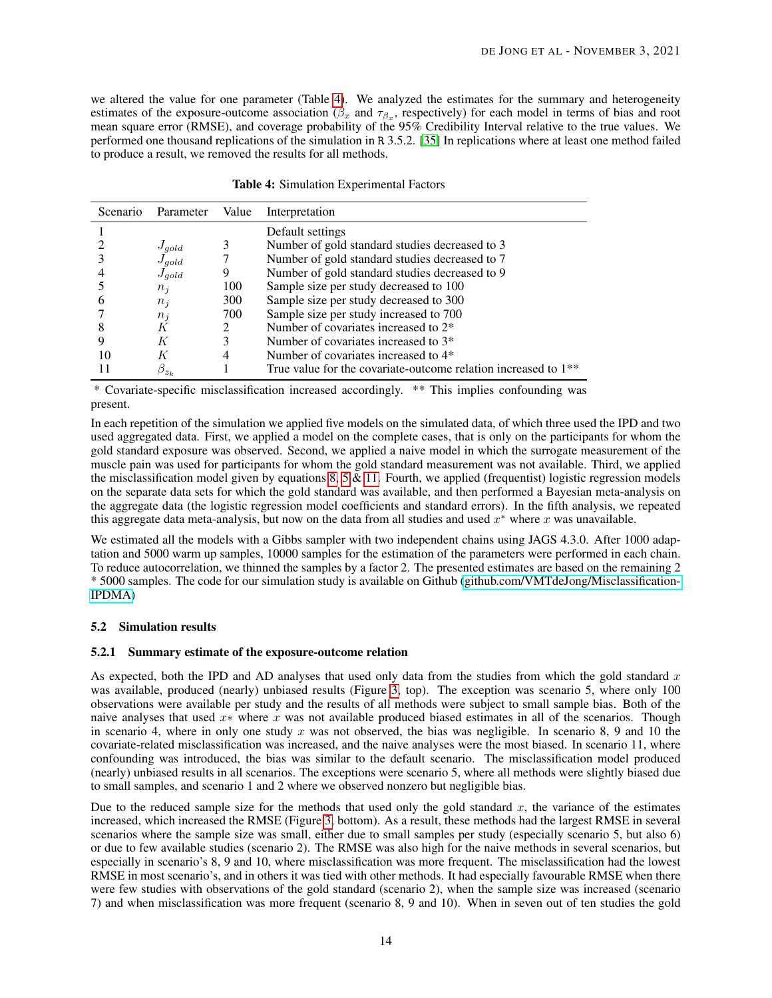we altered the value for one parameter (Table [4\)](#page-13-0). We analyzed the estimates for the summary and heterogeneity estimates of the exposure-outcome association ( $\beta_x$  and  $\tau_{\beta_x}$ , respectively) for each model in terms of bias and root mean square error (RMSE), and coverage probability of the 95% Credibility Interval relative to the true values. We performed one thousand replications of the simulation in R 3.5.2. [\[35\]](#page-20-17) In replications where at least one method failed to produce a result, we removed the results for all methods.

<span id="page-13-0"></span>

| Scenario | Parameter     | Value | Interpretation                                                             |
|----------|---------------|-------|----------------------------------------------------------------------------|
|          |               |       | Default settings                                                           |
|          | $J_{qold}$    | 3     | Number of gold standard studies decreased to 3                             |
|          | $J_{gold}$    |       | Number of gold standard studies decreased to 7                             |
|          | $J_{qold}$    | 9     | Number of gold standard studies decreased to 9                             |
|          | $n_i$         | 100   | Sample size per study decreased to 100                                     |
|          | $n_i$         | 300   | Sample size per study decreased to 300                                     |
|          | $n_i$         | 700   | Sample size per study increased to 700                                     |
|          | K             | 2     | Number of covariates increased to 2*                                       |
|          | К             | 3     | Number of covariates increased to 3 <sup>*</sup>                           |
| 10       | K             | 4     | Number of covariates increased to 4*                                       |
|          | $\beta_{z_k}$ |       | True value for the covariate-outcome relation increased to 1 <sup>**</sup> |

\* Covariate-specific misclassification increased accordingly. \*\* This implies confounding was present.

In each repetition of the simulation we applied five models on the simulated data, of which three used the IPD and two used aggregated data. First, we applied a model on the complete cases, that is only on the participants for whom the gold standard exposure was observed. Second, we applied a naive model in which the surrogate measurement of the muscle pain was used for participants for whom the gold standard measurement was not available. Third, we applied the misclassification model given by equations [8,](#page-7-0) [5](#page-6-1)  $\&$  [11.](#page-7-1) Fourth, we applied (frequentist) logistic regression models on the separate data sets for which the gold standard was available, and then performed a Bayesian meta-analysis on the aggregate data (the logistic regression model coefficients and standard errors). In the fifth analysis, we repeated this aggregate data meta-analysis, but now on the data from all studies and used  $x^*$  where x was unavailable.

We estimated all the models with a Gibbs sampler with two independent chains using JAGS 4.3.0. After 1000 adaptation and 5000 warm up samples, 10000 samples for the estimation of the parameters were performed in each chain. To reduce autocorrelation, we thinned the samples by a factor 2. The presented estimates are based on the remaining 2 \* 5000 samples. The code for our simulation study is available on Github [\(github.com/VMTdeJong/Misclassification-](https://github.com/VMTdeJong/Misclassification-IPDMA)[IPDMA\)](https://github.com/VMTdeJong/Misclassification-IPDMA)

## 5.2 Simulation results

#### 5.2.1 Summary estimate of the exposure-outcome relation

As expected, both the IPD and AD analyses that used only data from the studies from which the gold standard  $x$ was available, produced (nearly) unbiased results (Figure [3,](#page-14-0) top). The exception was scenario 5, where only 100 observations were available per study and the results of all methods were subject to small sample bias. Both of the naive analyses that used x<sup>∗</sup> where x was not available produced biased estimates in all of the scenarios. Though in scenario 4, where in only one study x was not observed, the bias was negligible. In scenario 8, 9 and 10 the covariate-related misclassification was increased, and the naive analyses were the most biased. In scenario 11, where confounding was introduced, the bias was similar to the default scenario. The misclassification model produced (nearly) unbiased results in all scenarios. The exceptions were scenario 5, where all methods were slightly biased due to small samples, and scenario 1 and 2 where we observed nonzero but negligible bias.

Due to the reduced sample size for the methods that used only the gold standard  $x$ , the variance of the estimates increased, which increased the RMSE (Figure [3,](#page-14-0) bottom). As a result, these methods had the largest RMSE in several scenarios where the sample size was small, either due to small samples per study (especially scenario 5, but also 6) or due to few available studies (scenario 2). The RMSE was also high for the naive methods in several scenarios, but especially in scenario's 8, 9 and 10, where misclassification was more frequent. The misclassification had the lowest RMSE in most scenario's, and in others it was tied with other methods. It had especially favourable RMSE when there were few studies with observations of the gold standard (scenario 2), when the sample size was increased (scenario 7) and when misclassification was more frequent (scenario 8, 9 and 10). When in seven out of ten studies the gold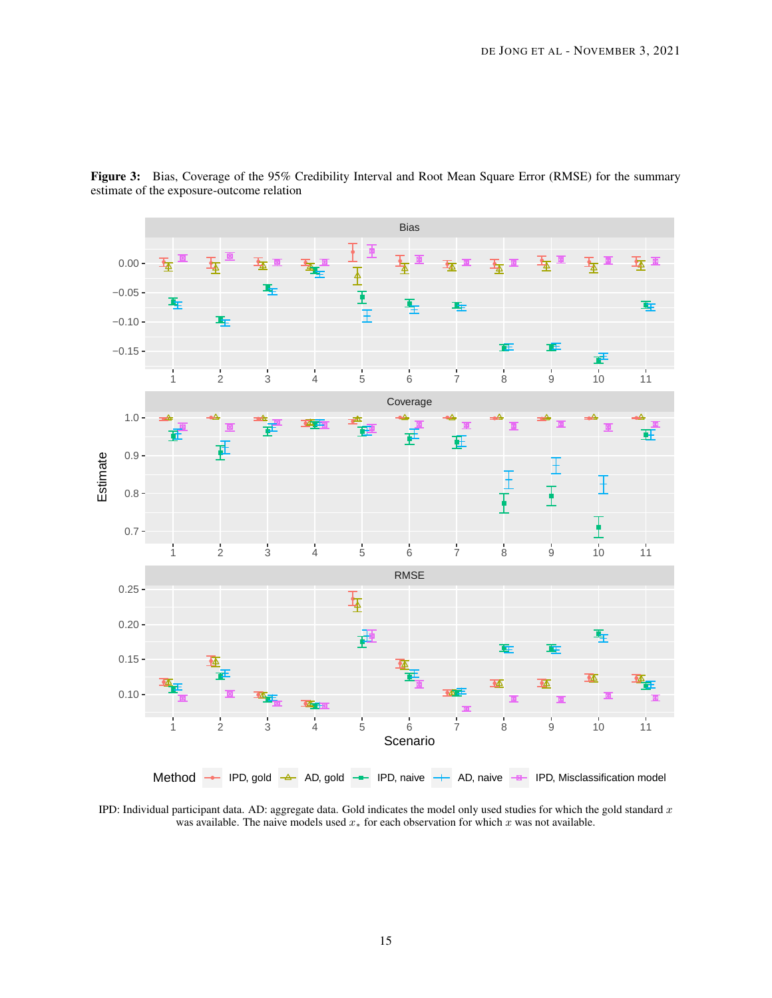<span id="page-14-0"></span>

Figure 3: Bias, Coverage of the 95% Credibility Interval and Root Mean Square Error (RMSE) for the summary estimate of the exposure-outcome relation

IPD: Individual participant data. AD: aggregate data. Gold indicates the model only used studies for which the gold standard  $x$ was available. The naive models used  $x<sub>*</sub>$  for each observation for which  $x$  was not available.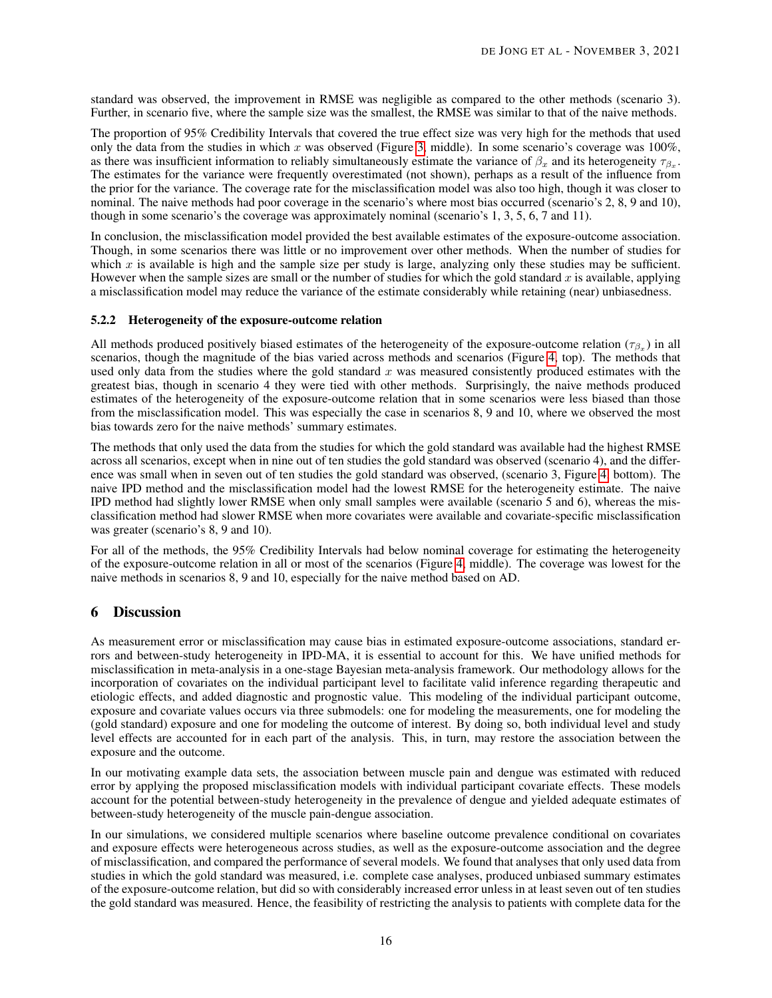standard was observed, the improvement in RMSE was negligible as compared to the other methods (scenario 3). Further, in scenario five, where the sample size was the smallest, the RMSE was similar to that of the naive methods.

The proportion of 95% Credibility Intervals that covered the true effect size was very high for the methods that used only the data from the studies in which x was observed (Figure [3,](#page-14-0) middle). In some scenario's coverage was  $100\%$ , as there was insufficient information to reliably simultaneously estimate the variance of  $\beta_x$  and its heterogeneity  $\tau_{\beta_x}$ . The estimates for the variance were frequently overestimated (not shown), perhaps as a result of the influence from the prior for the variance. The coverage rate for the misclassification model was also too high, though it was closer to nominal. The naive methods had poor coverage in the scenario's where most bias occurred (scenario's 2, 8, 9 and 10), though in some scenario's the coverage was approximately nominal (scenario's 1, 3, 5, 6, 7 and 11).

In conclusion, the misclassification model provided the best available estimates of the exposure-outcome association. Though, in some scenarios there was little or no improvement over other methods. When the number of studies for which  $x$  is available is high and the sample size per study is large, analyzing only these studies may be sufficient. However when the sample sizes are small or the number of studies for which the gold standard  $x$  is available, applying a misclassification model may reduce the variance of the estimate considerably while retaining (near) unbiasedness.

# 5.2.2 Heterogeneity of the exposure-outcome relation

All methods produced positively biased estimates of the heterogeneity of the exposure-outcome relation ( $\tau_{\beta_x}$ ) in all scenarios, though the magnitude of the bias varied across methods and scenarios (Figure [4,](#page-16-0) top). The methods that used only data from the studies where the gold standard  $x$  was measured consistently produced estimates with the greatest bias, though in scenario 4 they were tied with other methods. Surprisingly, the naive methods produced estimates of the heterogeneity of the exposure-outcome relation that in some scenarios were less biased than those from the misclassification model. This was especially the case in scenarios 8, 9 and 10, where we observed the most bias towards zero for the naive methods' summary estimates.

The methods that only used the data from the studies for which the gold standard was available had the highest RMSE across all scenarios, except when in nine out of ten studies the gold standard was observed (scenario 4), and the difference was small when in seven out of ten studies the gold standard was observed, (scenario 3, Figure [4,](#page-16-0) bottom). The naive IPD method and the misclassification model had the lowest RMSE for the heterogeneity estimate. The naive IPD method had slightly lower RMSE when only small samples were available (scenario 5 and 6), whereas the misclassification method had slower RMSE when more covariates were available and covariate-specific misclassification was greater (scenario's 8, 9 and 10).

For all of the methods, the 95% Credibility Intervals had below nominal coverage for estimating the heterogeneity of the exposure-outcome relation in all or most of the scenarios (Figure [4,](#page-16-0) middle). The coverage was lowest for the naive methods in scenarios 8, 9 and 10, especially for the naive method based on AD.

# <span id="page-15-0"></span>6 Discussion

As measurement error or misclassification may cause bias in estimated exposure-outcome associations, standard errors and between-study heterogeneity in IPD-MA, it is essential to account for this. We have unified methods for misclassification in meta-analysis in a one-stage Bayesian meta-analysis framework. Our methodology allows for the incorporation of covariates on the individual participant level to facilitate valid inference regarding therapeutic and etiologic effects, and added diagnostic and prognostic value. This modeling of the individual participant outcome, exposure and covariate values occurs via three submodels: one for modeling the measurements, one for modeling the (gold standard) exposure and one for modeling the outcome of interest. By doing so, both individual level and study level effects are accounted for in each part of the analysis. This, in turn, may restore the association between the exposure and the outcome.

In our motivating example data sets, the association between muscle pain and dengue was estimated with reduced error by applying the proposed misclassification models with individual participant covariate effects. These models account for the potential between-study heterogeneity in the prevalence of dengue and yielded adequate estimates of between-study heterogeneity of the muscle pain-dengue association.

In our simulations, we considered multiple scenarios where baseline outcome prevalence conditional on covariates and exposure effects were heterogeneous across studies, as well as the exposure-outcome association and the degree of misclassification, and compared the performance of several models. We found that analyses that only used data from studies in which the gold standard was measured, i.e. complete case analyses, produced unbiased summary estimates of the exposure-outcome relation, but did so with considerably increased error unless in at least seven out of ten studies the gold standard was measured. Hence, the feasibility of restricting the analysis to patients with complete data for the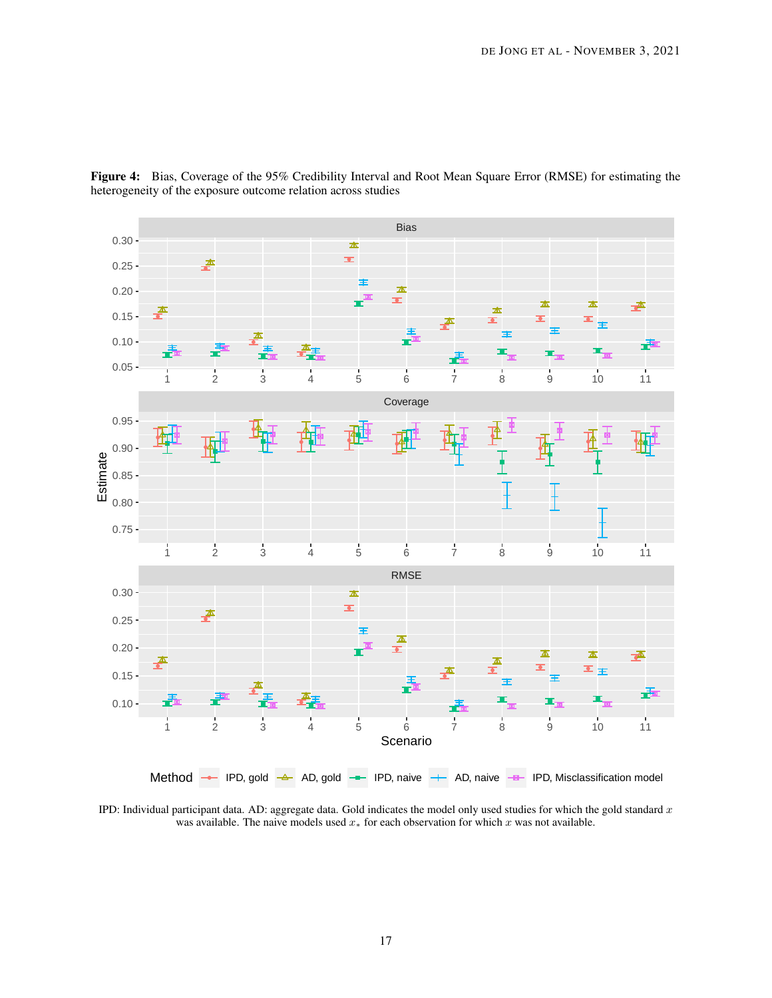<span id="page-16-0"></span>

Figure 4: Bias, Coverage of the 95% Credibility Interval and Root Mean Square Error (RMSE) for estimating the heterogeneity of the exposure outcome relation across studies

IPD: Individual participant data. AD: aggregate data. Gold indicates the model only used studies for which the gold standard  $x$ was available. The naive models used  $x_*$  for each observation for which  $x$  was not available.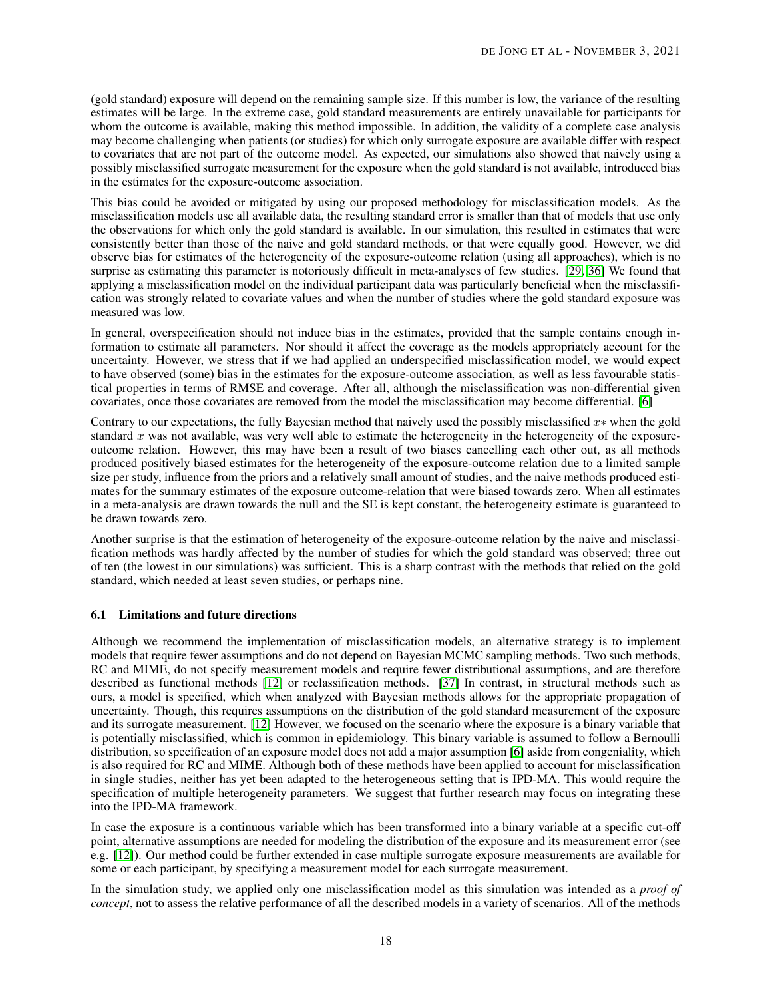(gold standard) exposure will depend on the remaining sample size. If this number is low, the variance of the resulting estimates will be large. In the extreme case, gold standard measurements are entirely unavailable for participants for whom the outcome is available, making this method impossible. In addition, the validity of a complete case analysis may become challenging when patients (or studies) for which only surrogate exposure are available differ with respect to covariates that are not part of the outcome model. As expected, our simulations also showed that naively using a possibly misclassified surrogate measurement for the exposure when the gold standard is not available, introduced bias in the estimates for the exposure-outcome association.

This bias could be avoided or mitigated by using our proposed methodology for misclassification models. As the misclassification models use all available data, the resulting standard error is smaller than that of models that use only the observations for which only the gold standard is available. In our simulation, this resulted in estimates that were consistently better than those of the naive and gold standard methods, or that were equally good. However, we did observe bias for estimates of the heterogeneity of the exposure-outcome relation (using all approaches), which is no surprise as estimating this parameter is notoriously difficult in meta-analyses of few studies. [\[29,](#page-20-11) [36\]](#page-20-18) We found that applying a misclassification model on the individual participant data was particularly beneficial when the misclassification was strongly related to covariate values and when the number of studies where the gold standard exposure was measured was low.

In general, overspecification should not induce bias in the estimates, provided that the sample contains enough information to estimate all parameters. Nor should it affect the coverage as the models appropriately account for the uncertainty. However, we stress that if we had applied an underspecified misclassification model, we would expect to have observed (some) bias in the estimates for the exposure-outcome association, as well as less favourable statistical properties in terms of RMSE and coverage. After all, although the misclassification was non-differential given covariates, once those covariates are removed from the model the misclassification may become differential. [\[6\]](#page-19-5)

Contrary to our expectations, the fully Bayesian method that naively used the possibly misclassified  $x*$  when the gold standard  $x$  was not available, was very well able to estimate the heterogeneity in the heterogeneity of the exposureoutcome relation. However, this may have been a result of two biases cancelling each other out, as all methods produced positively biased estimates for the heterogeneity of the exposure-outcome relation due to a limited sample size per study, influence from the priors and a relatively small amount of studies, and the naive methods produced estimates for the summary estimates of the exposure outcome-relation that were biased towards zero. When all estimates in a meta-analysis are drawn towards the null and the SE is kept constant, the heterogeneity estimate is guaranteed to be drawn towards zero.

Another surprise is that the estimation of heterogeneity of the exposure-outcome relation by the naive and misclassification methods was hardly affected by the number of studies for which the gold standard was observed; three out of ten (the lowest in our simulations) was sufficient. This is a sharp contrast with the methods that relied on the gold standard, which needed at least seven studies, or perhaps nine.

## 6.1 Limitations and future directions

Although we recommend the implementation of misclassification models, an alternative strategy is to implement models that require fewer assumptions and do not depend on Bayesian MCMC sampling methods. Two such methods, RC and MIME, do not specify measurement models and require fewer distributional assumptions, and are therefore described as functional methods [\[12\]](#page-19-11) or reclassification methods. [\[37\]](#page-20-19) In contrast, in structural methods such as ours, a model is specified, which when analyzed with Bayesian methods allows for the appropriate propagation of uncertainty. Though, this requires assumptions on the distribution of the gold standard measurement of the exposure and its surrogate measurement. [\[12\]](#page-19-11) However, we focused on the scenario where the exposure is a binary variable that is potentially misclassified, which is common in epidemiology. This binary variable is assumed to follow a Bernoulli distribution, so specification of an exposure model does not add a major assumption [\[6\]](#page-19-5) aside from congeniality, which is also required for RC and MIME. Although both of these methods have been applied to account for misclassification in single studies, neither has yet been adapted to the heterogeneous setting that is IPD-MA. This would require the specification of multiple heterogeneity parameters. We suggest that further research may focus on integrating these into the IPD-MA framework.

In case the exposure is a continuous variable which has been transformed into a binary variable at a specific cut-off point, alternative assumptions are needed for modeling the distribution of the exposure and its measurement error (see e.g. [\[12\]](#page-19-11)). Our method could be further extended in case multiple surrogate exposure measurements are available for some or each participant, by specifying a measurement model for each surrogate measurement.

In the simulation study, we applied only one misclassification model as this simulation was intended as a *proof of concept*, not to assess the relative performance of all the described models in a variety of scenarios. All of the methods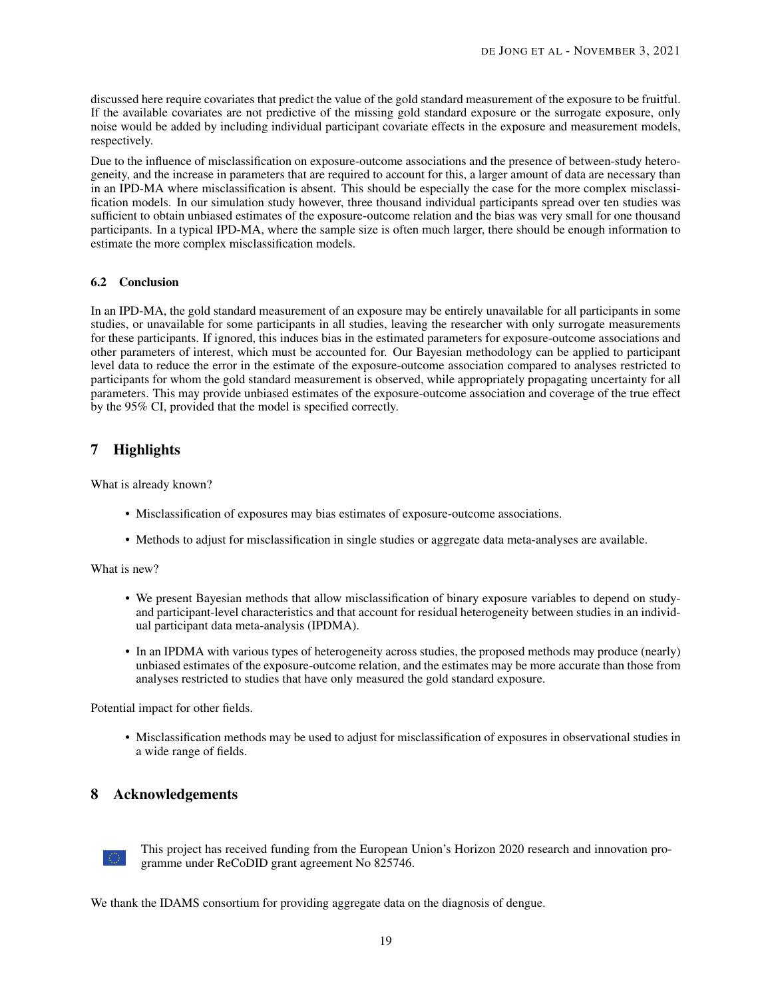discussed here require covariates that predict the value of the gold standard measurement of the exposure to be fruitful. If the available covariates are not predictive of the missing gold standard exposure or the surrogate exposure, only noise would be added by including individual participant covariate effects in the exposure and measurement models, respectively.

Due to the influence of misclassification on exposure-outcome associations and the presence of between-study heterogeneity, and the increase in parameters that are required to account for this, a larger amount of data are necessary than in an IPD-MA where misclassification is absent. This should be especially the case for the more complex misclassification models. In our simulation study however, three thousand individual participants spread over ten studies was sufficient to obtain unbiased estimates of the exposure-outcome relation and the bias was very small for one thousand participants. In a typical IPD-MA, where the sample size is often much larger, there should be enough information to estimate the more complex misclassification models.

#### 6.2 Conclusion

In an IPD-MA, the gold standard measurement of an exposure may be entirely unavailable for all participants in some studies, or unavailable for some participants in all studies, leaving the researcher with only surrogate measurements for these participants. If ignored, this induces bias in the estimated parameters for exposure-outcome associations and other parameters of interest, which must be accounted for. Our Bayesian methodology can be applied to participant level data to reduce the error in the estimate of the exposure-outcome association compared to analyses restricted to participants for whom the gold standard measurement is observed, while appropriately propagating uncertainty for all parameters. This may provide unbiased estimates of the exposure-outcome association and coverage of the true effect by the 95% CI, provided that the model is specified correctly.

# 7 Highlights

What is already known?

- Misclassification of exposures may bias estimates of exposure-outcome associations.
- Methods to adjust for misclassification in single studies or aggregate data meta-analyses are available.

What is new?

- We present Bayesian methods that allow misclassification of binary exposure variables to depend on studyand participant-level characteristics and that account for residual heterogeneity between studies in an individual participant data meta-analysis (IPDMA).
- In an IPDMA with various types of heterogeneity across studies, the proposed methods may produce (nearly) unbiased estimates of the exposure-outcome relation, and the estimates may be more accurate than those from analyses restricted to studies that have only measured the gold standard exposure.

Potential impact for other fields.

• Misclassification methods may be used to adjust for misclassification of exposures in observational studies in a wide range of fields.

## 8 Acknowledgements



This project has received funding from the European Union's Horizon 2020 research and innovation programme under ReCoDID grant agreement No 825746.

We thank the IDAMS consortium for providing aggregate data on the diagnosis of dengue.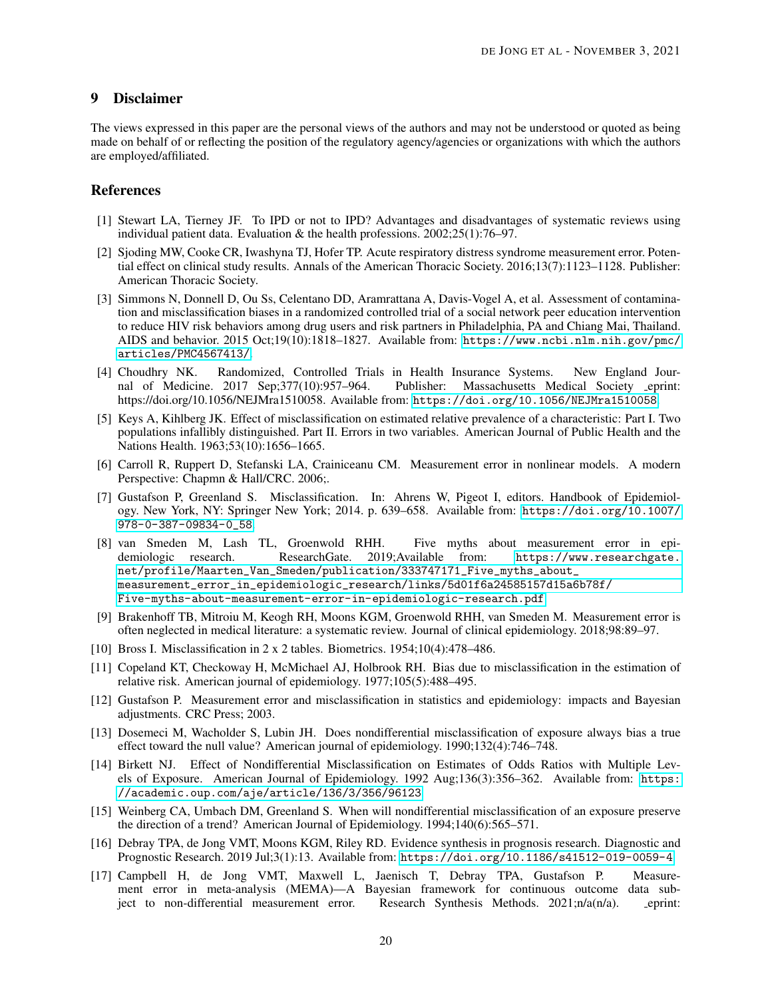# 9 Disclaimer

The views expressed in this paper are the personal views of the authors and may not be understood or quoted as being made on behalf of or reflecting the position of the regulatory agency/agencies or organizations with which the authors are employed/affiliated.

# References

- <span id="page-19-0"></span>[1] Stewart LA, Tierney JF. To IPD or not to IPD? Advantages and disadvantages of systematic reviews using individual patient data. Evaluation & the health professions. 2002;25(1):76–97.
- <span id="page-19-1"></span>[2] Sjoding MW, Cooke CR, Iwashyna TJ, Hofer TP. Acute respiratory distress syndrome measurement error. Potential effect on clinical study results. Annals of the American Thoracic Society. 2016;13(7):1123–1128. Publisher: American Thoracic Society.
- <span id="page-19-2"></span>[3] Simmons N, Donnell D, Ou Ss, Celentano DD, Aramrattana A, Davis-Vogel A, et al. Assessment of contamination and misclassification biases in a randomized controlled trial of a social network peer education intervention to reduce HIV risk behaviors among drug users and risk partners in Philadelphia, PA and Chiang Mai, Thailand. AIDS and behavior. 2015 Oct;19(10):1818–1827. Available from: [https://www.ncbi.nlm.nih.gov/pmc/](https://www.ncbi.nlm.nih.gov/pmc/articles/PMC4567413/) [articles/PMC4567413/](https://www.ncbi.nlm.nih.gov/pmc/articles/PMC4567413/).
- <span id="page-19-3"></span>[4] Choudhry NK. Randomized, Controlled Trials in Health Insurance Systems. New England Journal of Medicine. 2017 Sep;377(10):957–964. Publisher: Massachusetts Medical Society eprint: https://doi.org/10.1056/NEJMra1510058. Available from: <https://doi.org/10.1056/NEJMra1510058>.
- <span id="page-19-4"></span>[5] Keys A, Kihlberg JK. Effect of misclassification on estimated relative prevalence of a characteristic: Part I. Two populations infallibly distinguished. Part II. Errors in two variables. American Journal of Public Health and the Nations Health. 1963;53(10):1656–1665.
- <span id="page-19-5"></span>[6] Carroll R, Ruppert D, Stefanski LA, Crainiceanu CM. Measurement error in nonlinear models. A modern Perspective: Chapmn & Hall/CRC. 2006;.
- <span id="page-19-6"></span>[7] Gustafson P, Greenland S. Misclassification. In: Ahrens W, Pigeot I, editors. Handbook of Epidemiology. New York, NY: Springer New York; 2014. p. 639–658. Available from: [https://doi.org/10.1007/](https://doi.org/10.1007/978-0-387-09834-0_58) [978-0-387-09834-0\\_58](https://doi.org/10.1007/978-0-387-09834-0_58).
- <span id="page-19-7"></span>[8] van Smeden M, Lash TL, Groenwold RHH. Five myths about measurement error in epidemiologic research. ResearchGate. 2019;Available from: [https://www.researchgate.](https://www.researchgate.net/profile/Maarten_Van_Smeden/publication/333747171_Five_myths_about_measurement_error_in_epidemiologic_research/links/5d01f6a24585157d15a6b78f/Five-myths-about-measurement-error-in-epidemiologic-research.pdf) [net/profile/Maarten\\_Van\\_Smeden/publication/333747171\\_Five\\_myths\\_about\\_](https://www.researchgate.net/profile/Maarten_Van_Smeden/publication/333747171_Five_myths_about_measurement_error_in_epidemiologic_research/links/5d01f6a24585157d15a6b78f/Five-myths-about-measurement-error-in-epidemiologic-research.pdf) [measurement\\_error\\_in\\_epidemiologic\\_research/links/5d01f6a24585157d15a6b78f/](https://www.researchgate.net/profile/Maarten_Van_Smeden/publication/333747171_Five_myths_about_measurement_error_in_epidemiologic_research/links/5d01f6a24585157d15a6b78f/Five-myths-about-measurement-error-in-epidemiologic-research.pdf) [Five-myths-about-measurement-error-in-epidemiologic-research.pdf](https://www.researchgate.net/profile/Maarten_Van_Smeden/publication/333747171_Five_myths_about_measurement_error_in_epidemiologic_research/links/5d01f6a24585157d15a6b78f/Five-myths-about-measurement-error-in-epidemiologic-research.pdf).
- <span id="page-19-8"></span>[9] Brakenhoff TB, Mitroiu M, Keogh RH, Moons KGM, Groenwold RHH, van Smeden M. Measurement error is often neglected in medical literature: a systematic review. Journal of clinical epidemiology. 2018;98:89–97.
- <span id="page-19-9"></span>[10] Bross I. Misclassification in 2 x 2 tables. Biometrics.  $1954;10(4):478-486$ .
- <span id="page-19-10"></span>[11] Copeland KT, Checkoway H, McMichael AJ, Holbrook RH. Bias due to misclassification in the estimation of relative risk. American journal of epidemiology. 1977;105(5):488–495.
- <span id="page-19-11"></span>[12] Gustafson P. Measurement error and misclassification in statistics and epidemiology: impacts and Bayesian adjustments. CRC Press; 2003.
- <span id="page-19-12"></span>[13] Dosemeci M, Wacholder S, Lubin JH. Does nondifferential misclassification of exposure always bias a true effect toward the null value? American journal of epidemiology. 1990;132(4):746–748.
- <span id="page-19-13"></span>[14] Birkett NJ. Effect of Nondifferential Misclassification on Estimates of Odds Ratios with Multiple Levels of Exposure. American Journal of Epidemiology. 1992 Aug;136(3):356–362. Available from: [https:](https://academic.oup.com/aje/article/136/3/356/96123) [//academic.oup.com/aje/article/136/3/356/96123](https://academic.oup.com/aje/article/136/3/356/96123).
- <span id="page-19-14"></span>[15] Weinberg CA, Umbach DM, Greenland S. When will nondifferential misclassification of an exposure preserve the direction of a trend? American Journal of Epidemiology. 1994;140(6):565–571.
- <span id="page-19-15"></span>[16] Debray TPA, de Jong VMT, Moons KGM, Riley RD. Evidence synthesis in prognosis research. Diagnostic and Prognostic Research. 2019 Jul;3(1):13. Available from: <https://doi.org/10.1186/s41512-019-0059-4>.
- <span id="page-19-16"></span>[17] Campbell H, de Jong VMT, Maxwell L, Jaenisch T, Debray TPA, Gustafson P. Measurement error in meta-analysis (MEMA)—A Bayesian framework for continuous outcome data subject to non-differential measurement error. Research Synthesis Methods. 2021;n/a(n/a). eprint: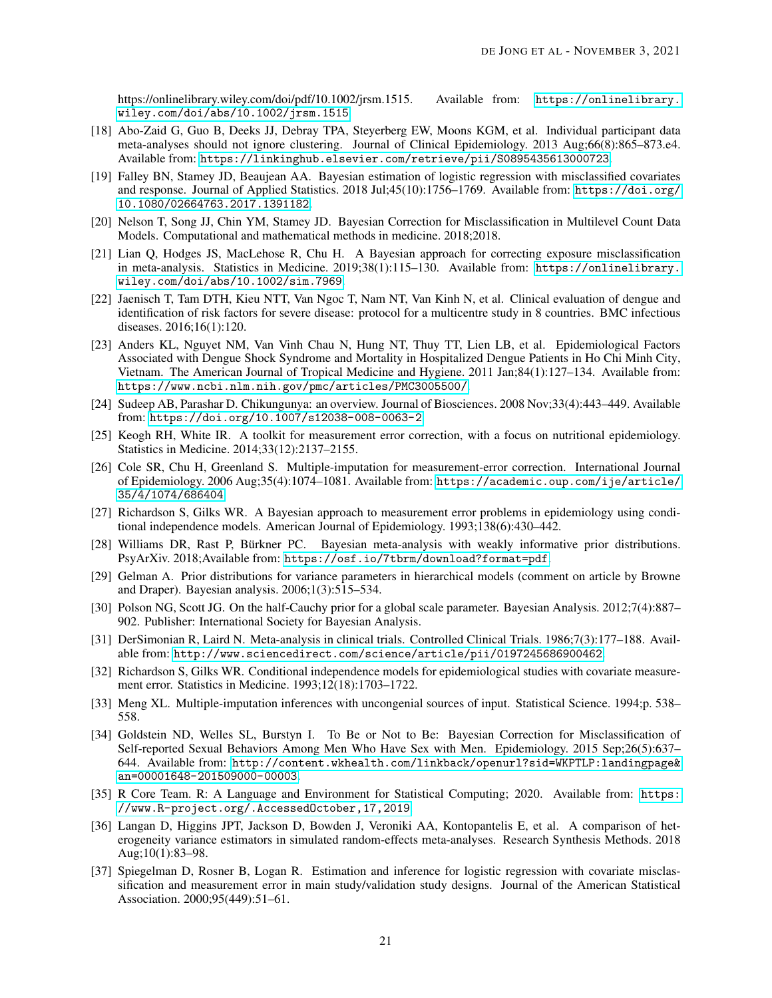https://onlinelibrary.wiley.com/doi/pdf/10.1002/jrsm.1515. Available from: [https://onlinelibrary.](https://onlinelibrary.wiley.com/doi/abs/10.1002/jrsm.1515) [wiley.com/doi/abs/10.1002/jrsm.1515](https://onlinelibrary.wiley.com/doi/abs/10.1002/jrsm.1515).

- <span id="page-20-0"></span>[18] Abo-Zaid G, Guo B, Deeks JJ, Debray TPA, Steyerberg EW, Moons KGM, et al. Individual participant data meta-analyses should not ignore clustering. Journal of Clinical Epidemiology. 2013 Aug;66(8):865–873.e4. Available from: <https://linkinghub.elsevier.com/retrieve/pii/S0895435613000723>.
- <span id="page-20-1"></span>[19] Falley BN, Stamey JD, Beaujean AA. Bayesian estimation of logistic regression with misclassified covariates and response. Journal of Applied Statistics. 2018 Jul;45(10):1756–1769. Available from: [https://doi.org/](https://doi.org/10.1080/02664763.2017.1391182) [10.1080/02664763.2017.1391182](https://doi.org/10.1080/02664763.2017.1391182).
- <span id="page-20-2"></span>[20] Nelson T, Song JJ, Chin YM, Stamey JD. Bayesian Correction for Misclassification in Multilevel Count Data Models. Computational and mathematical methods in medicine. 2018;2018.
- <span id="page-20-3"></span>[21] Lian Q, Hodges JS, MacLehose R, Chu H. A Bayesian approach for correcting exposure misclassification in meta-analysis. Statistics in Medicine. 2019;38(1):115–130. Available from: [https://onlinelibrary.](https://onlinelibrary.wiley.com/doi/abs/10.1002/sim.7969) [wiley.com/doi/abs/10.1002/sim.7969](https://onlinelibrary.wiley.com/doi/abs/10.1002/sim.7969).
- <span id="page-20-4"></span>[22] Jaenisch T, Tam DTH, Kieu NTT, Van Ngoc T, Nam NT, Van Kinh N, et al. Clinical evaluation of dengue and identification of risk factors for severe disease: protocol for a multicentre study in 8 countries. BMC infectious diseases. 2016;16(1):120.
- <span id="page-20-5"></span>[23] Anders KL, Nguyet NM, Van Vinh Chau N, Hung NT, Thuy TT, Lien LB, et al. Epidemiological Factors Associated with Dengue Shock Syndrome and Mortality in Hospitalized Dengue Patients in Ho Chi Minh City, Vietnam. The American Journal of Tropical Medicine and Hygiene. 2011 Jan;84(1):127–134. Available from: <https://www.ncbi.nlm.nih.gov/pmc/articles/PMC3005500/>.
- <span id="page-20-6"></span>[24] Sudeep AB, Parashar D. Chikungunya: an overview. Journal of Biosciences. 2008 Nov;33(4):443–449. Available from: <https://doi.org/10.1007/s12038-008-0063-2>.
- <span id="page-20-7"></span>[25] Keogh RH, White IR. A toolkit for measurement error correction, with a focus on nutritional epidemiology. Statistics in Medicine. 2014;33(12):2137–2155.
- <span id="page-20-8"></span>[26] Cole SR, Chu H, Greenland S. Multiple-imputation for measurement-error correction. International Journal of Epidemiology. 2006 Aug;35(4):1074–1081. Available from: [https://academic.oup.com/ije/article/](https://academic.oup.com/ije/article/35/4/1074/686404) [35/4/1074/686404](https://academic.oup.com/ije/article/35/4/1074/686404).
- <span id="page-20-9"></span>[27] Richardson S, Gilks WR. A Bayesian approach to measurement error problems in epidemiology using conditional independence models. American Journal of Epidemiology. 1993;138(6):430–442.
- <span id="page-20-10"></span>[28] Williams DR, Rast P, Bürkner PC. Bayesian meta-analysis with weakly informative prior distributions. PsyArXiv. 2018;Available from: <https://osf.io/7tbrm/download?format=pdf>.
- <span id="page-20-11"></span>[29] Gelman A. Prior distributions for variance parameters in hierarchical models (comment on article by Browne and Draper). Bayesian analysis. 2006;1(3):515–534.
- <span id="page-20-12"></span>[30] Polson NG, Scott JG. On the half-Cauchy prior for a global scale parameter. Bayesian Analysis. 2012;7(4):887– 902. Publisher: International Society for Bayesian Analysis.
- <span id="page-20-13"></span>[31] DerSimonian R, Laird N. Meta-analysis in clinical trials. Controlled Clinical Trials. 1986;7(3):177–188. Available from: <http://www.sciencedirect.com/science/article/pii/0197245686900462>.
- <span id="page-20-14"></span>[32] Richardson S, Gilks WR. Conditional independence models for epidemiological studies with covariate measurement error. Statistics in Medicine. 1993;12(18):1703–1722.
- <span id="page-20-15"></span>[33] Meng XL. Multiple-imputation inferences with uncongenial sources of input. Statistical Science. 1994;p. 538– 558.
- <span id="page-20-16"></span>[34] Goldstein ND, Welles SL, Burstyn I. To Be or Not to Be: Bayesian Correction for Misclassification of Self-reported Sexual Behaviors Among Men Who Have Sex with Men. Epidemiology. 2015 Sep;26(5):637– 644. Available from: [http://content.wkhealth.com/linkback/openurl?sid=WKPTLP:landingpage&](http://content.wkhealth.com/linkback/openurl?sid=WKPTLP:landingpage&an=00001648-201509000-00003) [an=00001648-201509000-00003](http://content.wkhealth.com/linkback/openurl?sid=WKPTLP:landingpage&an=00001648-201509000-00003).
- <span id="page-20-17"></span>[35] R Core Team. R: A Language and Environment for Statistical Computing; 2020. Available from: [https:](https://www.R-project.org/. Accessed October, 17, 2019) [//www.R-project.org/.AccessedOctober,17,2019](https://www.R-project.org/. Accessed October, 17, 2019).
- <span id="page-20-18"></span>[36] Langan D, Higgins JPT, Jackson D, Bowden J, Veroniki AA, Kontopantelis E, et al. A comparison of heterogeneity variance estimators in simulated random-effects meta-analyses. Research Synthesis Methods. 2018 Aug;10(1):83–98.
- <span id="page-20-19"></span>[37] Spiegelman D, Rosner B, Logan R. Estimation and inference for logistic regression with covariate misclassification and measurement error in main study/validation study designs. Journal of the American Statistical Association. 2000;95(449):51–61.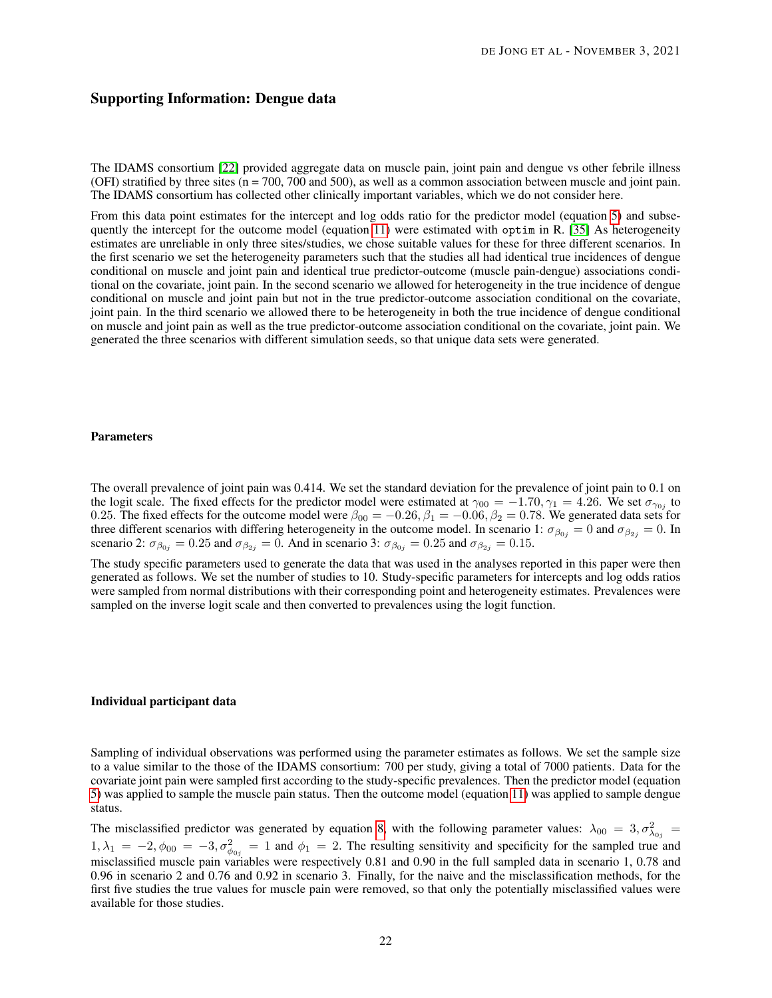# Supporting Information: Dengue data

The IDAMS consortium [\[22\]](#page-20-4) provided aggregate data on muscle pain, joint pain and dengue vs other febrile illness (OFI) stratified by three sites (n = 700, 700 and 500), as well as a common association between muscle and joint pain. The IDAMS consortium has collected other clinically important variables, which we do not consider here.

From this data point estimates for the intercept and log odds ratio for the predictor model (equation [5\)](#page-6-1) and subsequently the intercept for the outcome model (equation [11\)](#page-7-1) were estimated with optim in R. [\[35\]](#page-20-17) As heterogeneity estimates are unreliable in only three sites/studies, we chose suitable values for these for three different scenarios. In the first scenario we set the heterogeneity parameters such that the studies all had identical true incidences of dengue conditional on muscle and joint pain and identical true predictor-outcome (muscle pain-dengue) associations conditional on the covariate, joint pain. In the second scenario we allowed for heterogeneity in the true incidence of dengue conditional on muscle and joint pain but not in the true predictor-outcome association conditional on the covariate, joint pain. In the third scenario we allowed there to be heterogeneity in both the true incidence of dengue conditional on muscle and joint pain as well as the true predictor-outcome association conditional on the covariate, joint pain. We generated the three scenarios with different simulation seeds, so that unique data sets were generated.

#### Parameters

The overall prevalence of joint pain was 0.414. We set the standard deviation for the prevalence of joint pain to 0.1 on the logit scale. The fixed effects for the predictor model were estimated at  $\gamma_{00} = -1.70, \gamma_1 = 4.26$ . We set  $\sigma_{\gamma_{0j}}$  to 0.25. The fixed effects for the outcome model were  $\beta_{00} = -0.26$ ,  $\beta_1 = -0.06$ ,  $\beta_2 = 0.78$ . We generated data sets for three different scenarios with differing heterogeneity in the outcome model. In scenario 1:  $\sigma_{\beta_{0j}} = 0$  and  $\sigma_{\beta_{2j}} = 0$ . In scenario 2:  $\sigma_{\beta_{0j}} = 0.25$  and  $\sigma_{\beta_{2j}} = 0$ . And in scenario 3:  $\sigma_{\beta_{0j}} = 0.25$  and  $\sigma_{\beta_{2j}} = 0.15$ .

The study specific parameters used to generate the data that was used in the analyses reported in this paper were then generated as follows. We set the number of studies to 10. Study-specific parameters for intercepts and log odds ratios were sampled from normal distributions with their corresponding point and heterogeneity estimates. Prevalences were sampled on the inverse logit scale and then converted to prevalences using the logit function.

#### Individual participant data

Sampling of individual observations was performed using the parameter estimates as follows. We set the sample size to a value similar to the those of the IDAMS consortium: 700 per study, giving a total of 7000 patients. Data for the covariate joint pain were sampled first according to the study-specific prevalences. Then the predictor model (equation [5\)](#page-6-1) was applied to sample the muscle pain status. Then the outcome model (equation [11\)](#page-7-1) was applied to sample dengue status.

The misclassified predictor was generated by equation [8,](#page-7-0) with the following parameter values:  $\lambda_{00} = 3, \sigma_{\lambda_{0j}}^2 =$  $1, \lambda_1 = -2, \phi_{00} = -3, \sigma_{\phi_{0j}}^2 = 1$  and  $\phi_1 = 2$ . The resulting sensitivity and specificity for the sampled true and misclassified muscle pain variables were respectively 0.81 and 0.90 in the full sampled data in scenario 1, 0.78 and 0.96 in scenario 2 and 0.76 and 0.92 in scenario 3. Finally, for the naive and the misclassification methods, for the first five studies the true values for muscle pain were removed, so that only the potentially misclassified values were available for those studies.